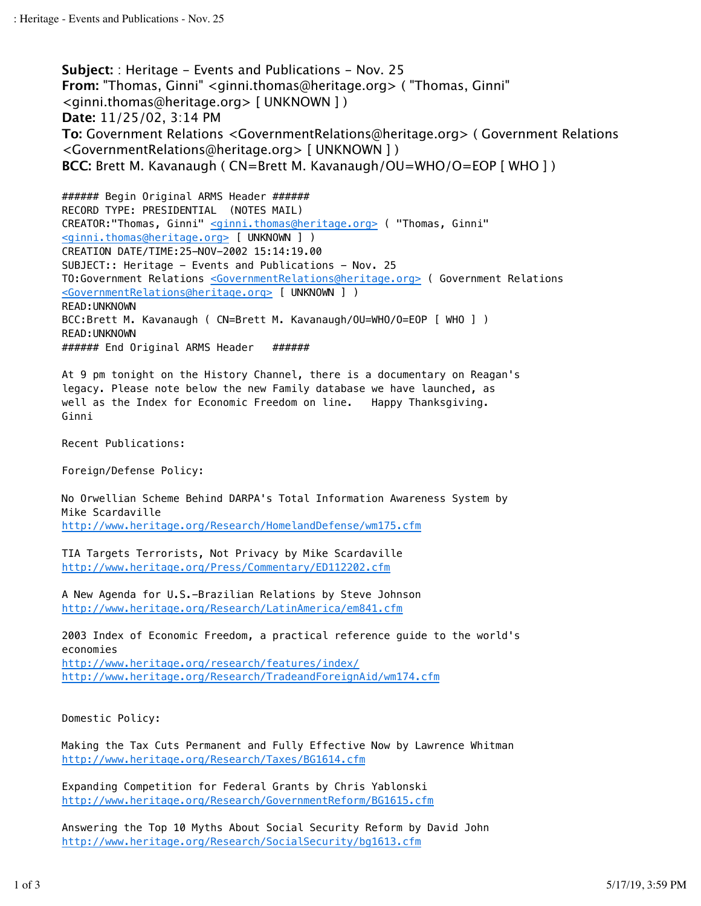**Subject:** : Heritage - Events and Publications - Nov. 25 **From:** "Thomas, Ginni" <ginni.thomas@heritage.org> ( "Thomas, Ginni" <ginni.thomas@heritage.org> [ UNKNOWN ] ) **Date:** 11/25/02, 3:14 PM **To:** Government Relations <GovernmentRelations@heritage.org> ( Government Relations <GovernmentRelations@heritage.org> [ UNKNOWN ] ) **BCC:** Brett M. Kavanaugh ( CN=Brett M. Kavanaugh/OU=WHO/O=EOP [ WHO ] )

####### Begin Original ARMS Header ###### RECORD TYPE: PRESIDENTIAL (NOTES MAIL) CREATOR:"Thomas, Ginni" <ginni.thomas@heritage.org> ( "Thomas, Ginni" <ginni.thomas@heritage.org> [ UNKNOWN ] ) CREATION DATE/TIME:25-NOV-2002 15:14:19.00 SUBJECT:: Heritage - Events and Publications - Nov. 25 TO:Government Relations <GovernmentRelations@heritage.org> ( Government Relations <GovernmentRelations@heritage.org> [ UNKNOWN ] ) READ:UNKNOWN BCC:Brett M. Kavanaugh ( CN=Brett M. Kavanaugh/OU=WHO/O=EOP [ WHO ] ) READ:UNKNOWN ####### End Original ARMS Header ######

At 9 pm tonight on the History Channel, there is a documentary on Reagan's legacy. Please note below the new Family database we have launched, as well as the Index for Economic Freedom on line. Happy Thanksgiving. Ginni

Recent Publications:

Foreign/Defense Policy:

No Orwellian Scheme Behind DARPA's Total Information Awareness System by Mike Scardaville http://www.heritage.org/Research/HomelandDefense/wm175.cfm

TIA Targets Terrorists, Not Privacy by Mike Scardaville http://www.heritage.org/Press/Commentary/ED112202.cfm

A New Agenda for U.S.-Brazilian Relations by Steve Johnson http://www.heritage.org/Research/LatinAmerica/em841.cfm

2003 Index of Economic Freedom, a practical reference guide to the world's economies http://www.heritage.org/research/features/index/

http://www.heritage.org/Research/TradeandForeignAid/wm174.cfm

Domestic Policy:

Making the Tax Cuts Permanent and Fully Effective Now by Lawrence Whitman http://www.heritage.org/Research/Taxes/BG1614.cfm

Expanding Competition for Federal Grants by Chris Yablonski http://www.heritage.org/Research/GovernmentReform/BG1615.cfm

Answering the Top 10 Myths About Social Security Reform by David John http://www.heritage.org/Research/SocialSecurity/bg1613.cfm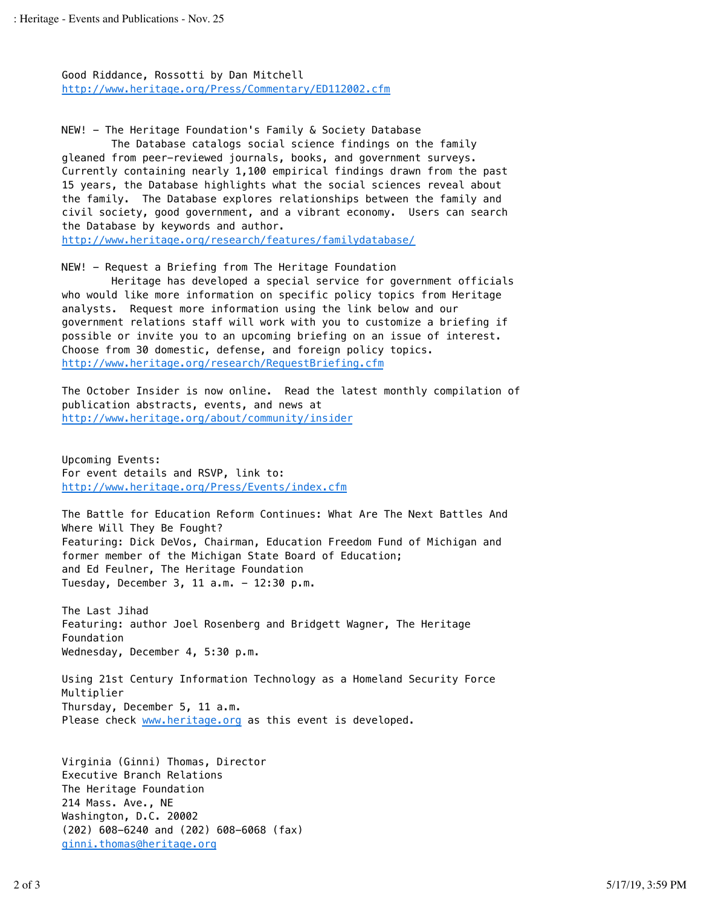Good Riddance, Rossotti by Dan Mitchell http://www.heritage.org/Press/Commentary/ED112002.cfm

NEW! - The Heritage Foundation's Family & Society Database The Database catalogs social science findings on the family gleaned from peer-reviewed journals, books, and government surveys. Currently containing nearly 1,100 empirical findings drawn from the past 15 years, the Database highlights what the social sciences reveal about the family. The Database explores relationships between the family and civil society, good government, and a vibrant economy. Users can search the Database by keywords and author.

http://www.heritage.org/research/features/familydatabase/

NEW! - Request a Briefing from The Heritage Foundation

Heritage has developed a special service for government officials who would like more information on specific policy topics from Heritage analysts. Request more information using the link below and our government relations staff will work with you to customize a briefing if possible or invite you to an upcoming briefing on an issue of interest. Choose from 30 domestic, defense, and foreign policy topics. http://www.heritage.org/research/RequestBriefing.cfm

The October Insider is now online. Read the latest monthly compilation of publication abstracts, events, and news at http://www.heritage.org/about/community/insider

Upcoming Events: For event details and RSVP, link to: http://www.heritage.org/Press/Events/index.cfm

The Battle for Education Reform Continues: What Are The Next Battles And Where Will They Be Fought? Featuring: Dick DeVos, Chairman, Education Freedom Fund of Michigan and former member of the Michigan State Board of Education; and Ed Feulner, The Heritage Foundation Tuesday, December 3, 11 a.m. - 12:30 p.m.

The Last Jihad Featuring: author Joel Rosenberg and Bridgett Wagner, The Heritage Foundation Wednesday, December 4, 5:30 p.m.

Using 21st Century Information Technology as a Homeland Security Force Multiplier Thursday, December 5, 11 a.m. Please check www.heritage.org as this event is developed.

Virginia (Ginni) Thomas, Director Executive Branch Relations The Heritage Foundation 214 Mass. Ave., NE Washington, D.C. 20002 (202) 608-6240 and (202) 608-6068 (fax) ginni.thomas@heritage.org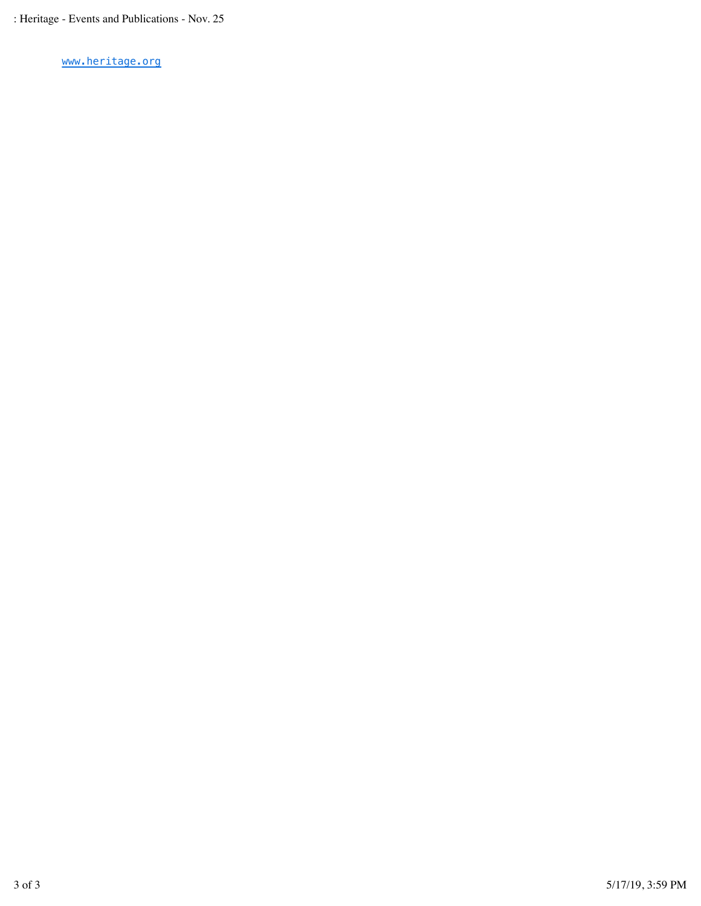www.heritage.org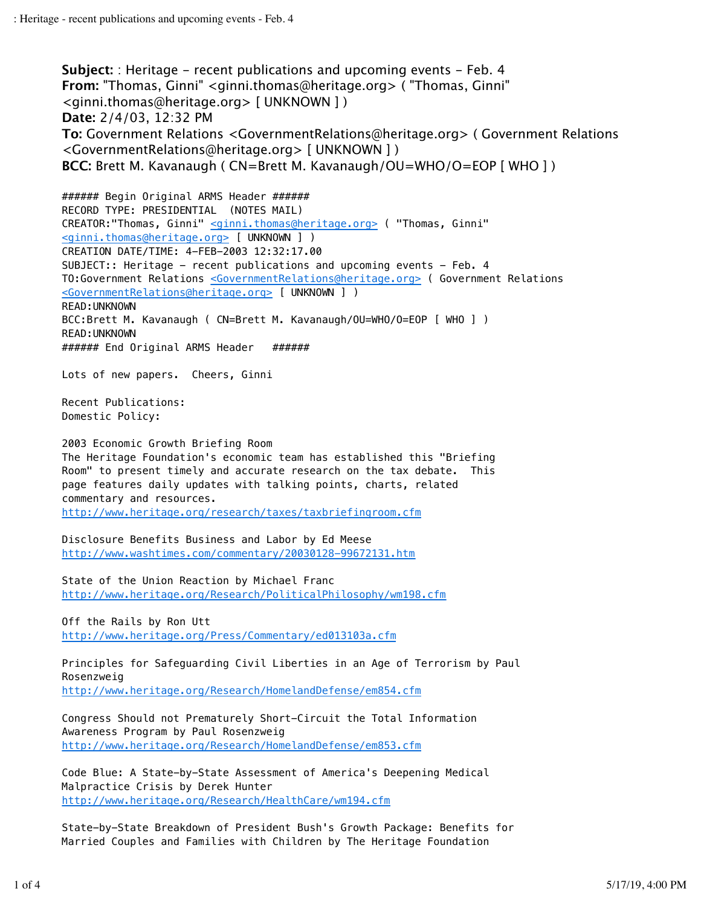**Subject:** : Heritage - recent publications and upcoming events - Feb. 4 **From:** "Thomas, Ginni" <ginni.thomas@heritage.org> ( "Thomas, Ginni" <ginni.thomas@heritage.org> [ UNKNOWN ] ) **Date:** 2/4/03, 12:32 PM **To:** Government Relations <GovernmentRelations@heritage.org> ( Government Relations <GovernmentRelations@heritage.org> [ UNKNOWN ] ) **BCC:** Brett M. Kavanaugh ( CN=Brett M. Kavanaugh/OU=WHO/O=EOP [ WHO ] )

####### Begin Original ARMS Header ###### RECORD TYPE: PRESIDENTIAL (NOTES MAIL) CREATOR:"Thomas, Ginni" <ginni.thomas@heritage.org> ( "Thomas, Ginni" <ginni.thomas@heritage.org> [ UNKNOWN ] ) CREATION DATE/TIME: 4-FEB-2003 12:32:17.00 SUBJECT:: Heritage - recent publications and upcoming events - Feb. 4 TO:Government Relations <GovernmentRelations@heritage.org> ( Government Relations <GovernmentRelations@heritage.org> [ UNKNOWN ] ) READ:UNKNOWN BCC:Brett M. Kavanaugh ( CN=Brett M. Kavanaugh/OU=WHO/O=EOP [ WHO ] ) READ:UNKNOWN ####### End Original ARMS Header ###### Lots of new papers. Cheers, Ginni Recent Publications: Domestic Policy: 2003 Economic Growth Briefing Room The Heritage Foundation's economic team has established this "Briefing Room" to present timely and accurate research on the tax debate. This page features daily updates with talking points, charts, related

commentary and resources.

http://www.heritage.org/research/taxes/taxbriefingroom.cfm

Disclosure Benefits Business and Labor by Ed Meese http://www.washtimes.com/commentary/20030128-99672131.htm

State of the Union Reaction by Michael Franc http://www.heritage.org/Research/PoliticalPhilosophy/wm198.cfm

Off the Rails by Ron Utt http://www.heritage.org/Press/Commentary/ed013103a.cfm

Principles for Safeguarding Civil Liberties in an Age of Terrorism by Paul Rosenzweig http://www.heritage.org/Research/HomelandDefense/em854.cfm

Congress Should not Prematurely Short-Circuit the Total Information Awareness Program by Paul Rosenzweig http://www.heritage.org/Research/HomelandDefense/em853.cfm

Code Blue: A State-by-State Assessment of America's Deepening Medical Malpractice Crisis by Derek Hunter http://www.heritage.org/Research/HealthCare/wm194.cfm

State-by-State Breakdown of President Bush's Growth Package: Benefits for Married Couples and Families with Children by The Heritage Foundation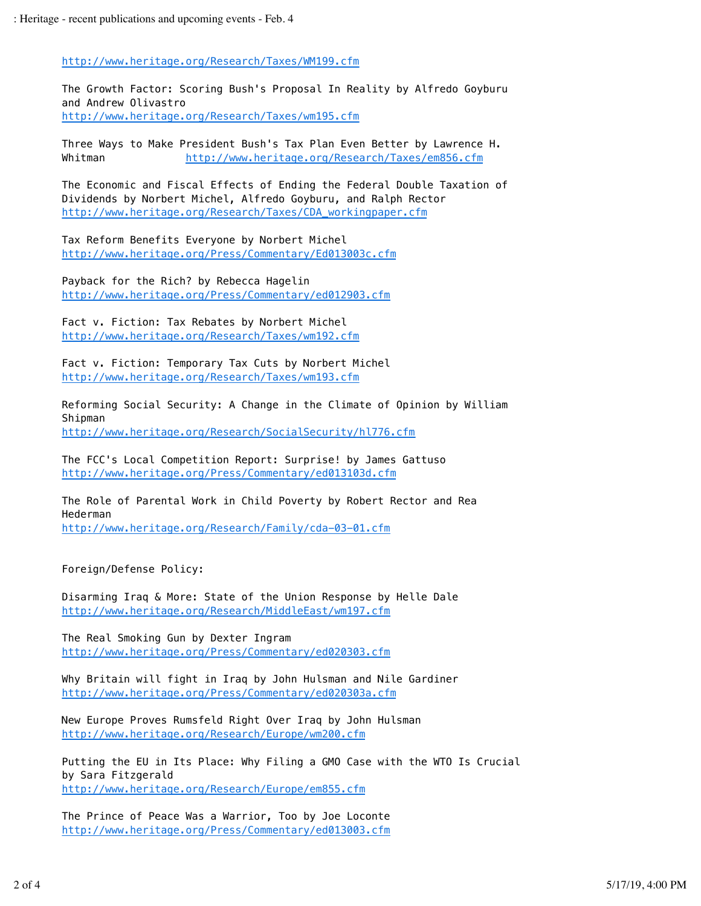http://www.heritage.org/Research/Taxes/WM199.cfm

The Growth Factor: Scoring Bush's Proposal In Reality by Alfredo Goyburu and Andrew Olivastro http://www.heritage.org/Research/Taxes/wm195.cfm

Three Ways to Make President Bush's Tax Plan Even Better by Lawrence H. Whitman http://www.heritage.org/Research/Taxes/em856.cfm

The Economic and Fiscal Effects of Ending the Federal Double Taxation of Dividends by Norbert Michel, Alfredo Goyburu, and Ralph Rector http://www.heritage.org/Research/Taxes/CDA\_workingpaper.cfm

Tax Reform Benefits Everyone by Norbert Michel http://www.heritage.org/Press/Commentary/Ed013003c.cfm

Payback for the Rich? by Rebecca Hagelin http://www.heritage.org/Press/Commentary/ed012903.cfm

Fact v. Fiction: Tax Rebates by Norbert Michel http://www.heritage.org/Research/Taxes/wm192.cfm

Fact v. Fiction: Temporary Tax Cuts by Norbert Michel http://www.heritage.org/Research/Taxes/wm193.cfm

Reforming Social Security: A Change in the Climate of Opinion by William Shipman http://www.heritage.org/Research/SocialSecurity/hl776.cfm

The FCC's Local Competition Report: Surprise! by James Gattuso http://www.heritage.org/Press/Commentary/ed013103d.cfm

The Role of Parental Work in Child Poverty by Robert Rector and Rea Hederman http://www.heritage.org/Research/Family/cda-03-01.cfm

Foreign/Defense Policy:

Disarming Iraq & More: State of the Union Response by Helle Dale http://www.heritage.org/Research/MiddleEast/wm197.cfm

The Real Smoking Gun by Dexter Ingram http://www.heritage.org/Press/Commentary/ed020303.cfm

Why Britain will fight in Iraq by John Hulsman and Nile Gardiner http://www.heritage.org/Press/Commentary/ed020303a.cfm

New Europe Proves Rumsfeld Right Over Iraq by John Hulsman http://www.heritage.org/Research/Europe/wm200.cfm

Putting the EU in Its Place: Why Filing a GMO Case with the WTO Is Crucial by Sara Fitzgerald http://www.heritage.org/Research/Europe/em855.cfm

The Prince of Peace Was a Warrior, Too by Joe Loconte http://www.heritage.org/Press/Commentary/ed013003.cfm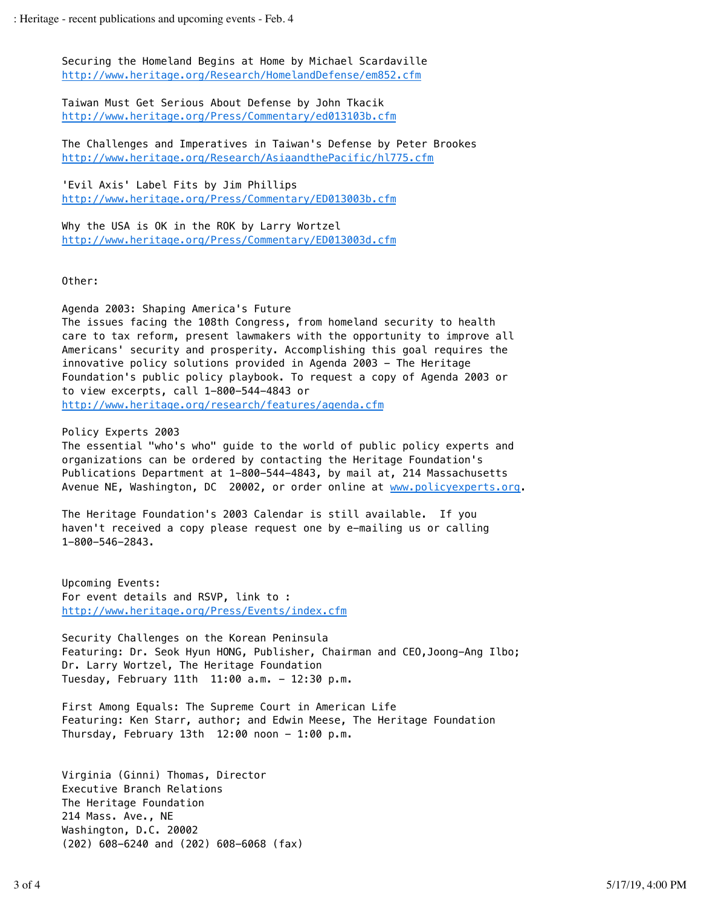Securing the Homeland Begins at Home by Michael Scardaville http://www.heritage.org/Research/HomelandDefense/em852.cfm

Taiwan Must Get Serious About Defense by John Tkacik http://www.heritage.org/Press/Commentary/ed013103b.cfm

The Challenges and Imperatives in Taiwan's Defense by Peter Brookes http://www.heritage.org/Research/AsiaandthePacific/hl775.cfm

'Evil Axis' Label Fits by Jim Phillips http://www.heritage.org/Press/Commentary/ED013003b.cfm

Why the USA is OK in the ROK by Larry Wortzel http://www.heritage.org/Press/Commentary/ED013003d.cfm

Other:

Agenda 2003: Shaping America's Future

The issues facing the 108th Congress, from homeland security to health care to tax reform, present lawmakers with the opportunity to improve all Americans' security and prosperity. Accomplishing this goal requires the innovative policy solutions provided in Agenda 2003 - The Heritage Foundation's public policy playbook. To request a copy of Agenda 2003 or to view excerpts, call 1-800-544-4843 or http://www.heritage.org/research/features/agenda.cfm

Policy Experts 2003 The essential "who's who" guide to the world of public policy experts and organizations can be ordered by contacting the Heritage Foundation's Publications Department at 1-800-544-4843, by mail at, 214 Massachusetts Avenue NE, Washington, DC 20002, or order online at www.policyexperts.org.

The Heritage Foundation's 2003 Calendar is still available. If you haven't received a copy please request one by e-mailing us or calling 1-800-546-2843.

Upcoming Events: For event details and RSVP, link to : http://www.heritage.org/Press/Events/index.cfm

Security Challenges on the Korean Peninsula Featuring: Dr. Seok Hyun HONG, Publisher, Chairman and CEO,Joong-Ang Ilbo; Dr. Larry Wortzel, The Heritage Foundation Tuesday, February 11th 11:00 a.m. - 12:30 p.m.

First Among Equals: The Supreme Court in American Life Featuring: Ken Starr, author; and Edwin Meese, The Heritage Foundation Thursday, February 13th  $12:00$  noon - 1:00 p.m.

Virginia (Ginni) Thomas, Director Executive Branch Relations The Heritage Foundation 214 Mass. Ave., NE Washington, D.C. 20002 (202) 608-6240 and (202) 608-6068 (fax)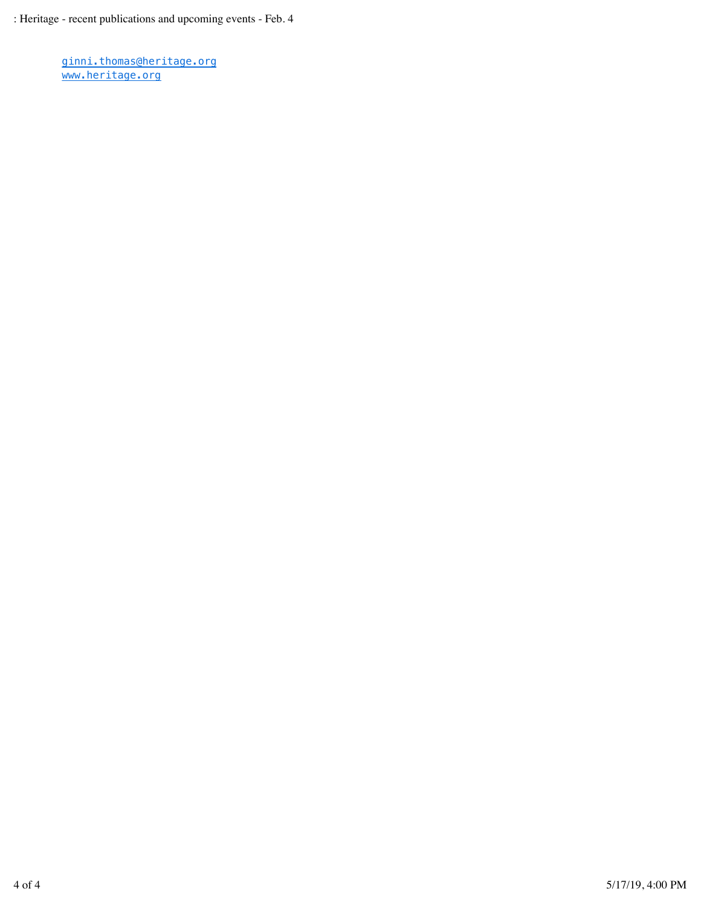ginni.thomas@heritage.org www.heritage.org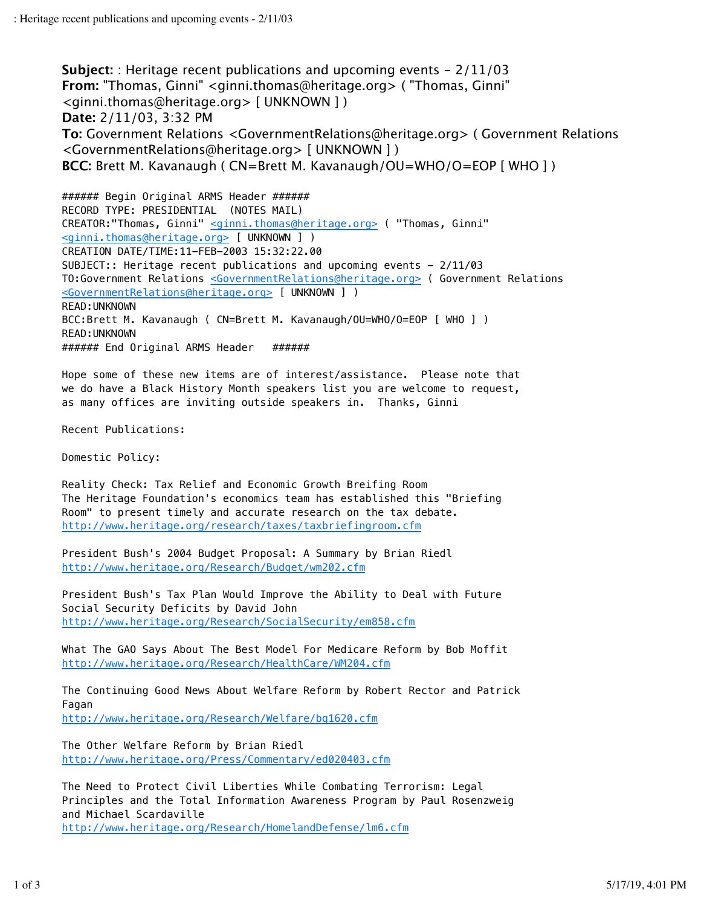**Subject:** : Heritage recent publications and upcoming events - 2/11/03 **From:** "Thomas, Ginni" <ginni.thomas@heritage.org> ( "Thomas, Ginni" <ginni.thomas@heritage.org> [ UNKNOWN ] ) **Date:** 2/11/03, 3:32 PM **To:** Government Relations <GovernmentRelations@heritage.org> ( Government Relations <GovernmentRelations@heritage.org> [ UNKNOWN ] ) **BCC:** Brett M. Kavanaugh ( CN=Brett M. Kavanaugh/OU=WHO/O=EOP [ WHO ] )

####### Begin Original ARMS Header ###### RECORD TYPE: PRESIDENTIAL (NOTES MAIL) CREATOR:"Thomas, Ginni" <ginni.thomas@heritage.org> ( "Thomas, Ginni" <ginni.thomas@heritage.org> [ UNKNOWN ] ) CREATION DATE/TIME:11-FEB-2003 15:32:22.00 SUBJECT:: Heritage recent publications and upcoming events - 2/11/03 TO:Government Relations <GovernmentRelations@heritage.org> ( Government Relations <GovernmentRelations@heritage.org> [ UNKNOWN ] ) READ:UNKNOWN BCC:Brett M. Kavanaugh ( CN=Brett M. Kavanaugh/OU=WHO/O=EOP [ WHO ] ) READ:UNKNOWN ####### End Original ARMS Header ######

Hope some of these new items are of interest/assistance. Please note that we do have a Black History Month speakers list you are welcome to request, as many offices are inviting outside speakers in. Thanks, Ginni

Recent Publications:

Domestic Policy:

Reality Check: Tax Relief and Economic Growth Breifing Room The Heritage Foundation's economics team has established this "Briefing Room" to present timely and accurate research on the tax debate. http://www.heritage.org/research/taxes/taxbriefingroom.cfm

President Bush's 2004 Budget Proposal: A Summary by Brian Riedl http://www.heritage.org/Research/Budget/wm202.cfm

President Bush's Tax Plan Would Improve the Ability to Deal with Future Social Security Deficits by David John http://www.heritage.org/Research/SocialSecurity/em858.cfm

What The GAO Says About The Best Model For Medicare Reform by Bob Moffit http://www.heritage.org/Research/HealthCare/WM204.cfm

The Continuing Good News About Welfare Reform by Robert Rector and Patrick Fagan http://www.heritage.org/Research/Welfare/bg1620.cfm

The Other Welfare Reform by Brian Riedl http://www.heritage.org/Press/Commentary/ed020403.cfm

The Need to Protect Civil Liberties While Combating Terrorism: Legal Principles and the Total Information Awareness Program by Paul Rosenzweig and Michael Scardaville http://www.heritage.org/Research/HomelandDefense/lm6.cfm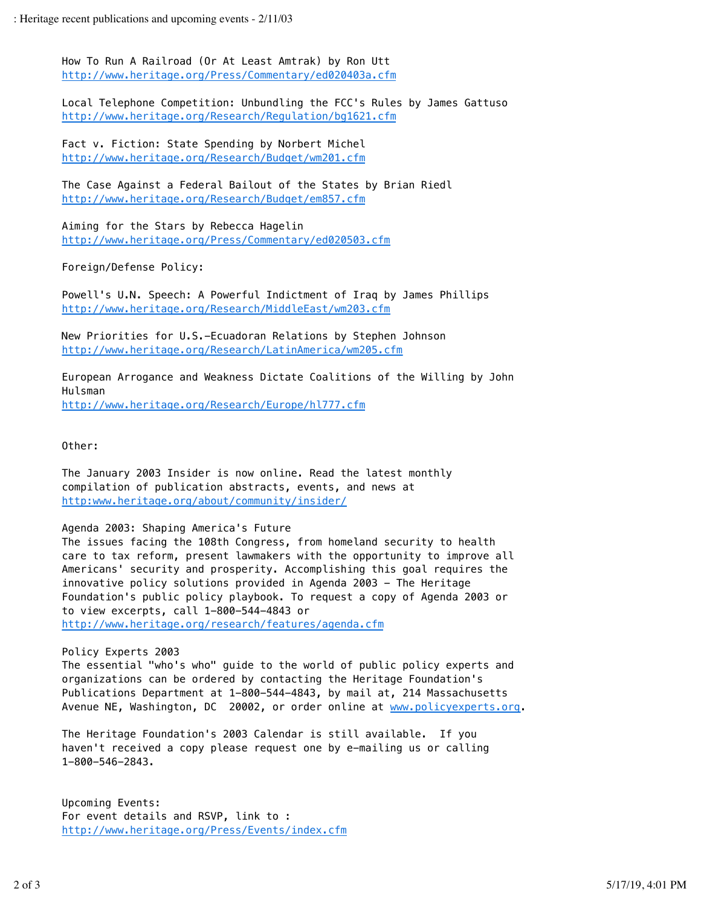How To Run A Railroad (Or At Least Amtrak) by Ron Utt http://www.heritage.org/Press/Commentary/ed020403a.cfm

Local Telephone Competition: Unbundling the FCC's Rules by James Gattuso http://www.heritage.org/Research/Regulation/bg1621.cfm

Fact v. Fiction: State Spending by Norbert Michel http://www.heritage.org/Research/Budget/wm201.cfm

The Case Against a Federal Bailout of the States by Brian Riedl http://www.heritage.org/Research/Budget/em857.cfm

Aiming for the Stars by Rebecca Hagelin http://www.heritage.org/Press/Commentary/ed020503.cfm

Foreign/Defense Policy:

Powell's U.N. Speech: A Powerful Indictment of Iraq by James Phillips http://www.heritage.org/Research/MiddleEast/wm203.cfm

New Priorities for U.S.-Ecuadoran Relations by Stephen Johnson http://www.heritage.org/Research/LatinAmerica/wm205.cfm

European Arrogance and Weakness Dictate Coalitions of the Willing by John Hulsman http://www.heritage.org/Research/Europe/hl777.cfm

Other:

The January 2003 Insider is now online. Read the latest monthly compilation of publication abstracts, events, and news at http:www.heritage.org/about/community/insider/

## Agenda 2003: Shaping America's Future

The issues facing the 108th Congress, from homeland security to health care to tax reform, present lawmakers with the opportunity to improve all Americans' security and prosperity. Accomplishing this goal requires the innovative policy solutions provided in Agenda 2003 - The Heritage Foundation's public policy playbook. To request a copy of Agenda 2003 or to view excerpts, call 1-800-544-4843 or http://www.heritage.org/research/features/agenda.cfm

Policy Experts 2003

The essential "who's who" guide to the world of public policy experts and organizations can be ordered by contacting the Heritage Foundation's Publications Department at 1-800-544-4843, by mail at, 214 Massachusetts Avenue NE, Washington, DC 20002, or order online at www.policyexperts.org.

The Heritage Foundation's 2003 Calendar is still available. If you haven't received a copy please request one by e-mailing us or calling 1-800-546-2843.

Upcoming Events: For event details and RSVP, link to : http://www.heritage.org/Press/Events/index.cfm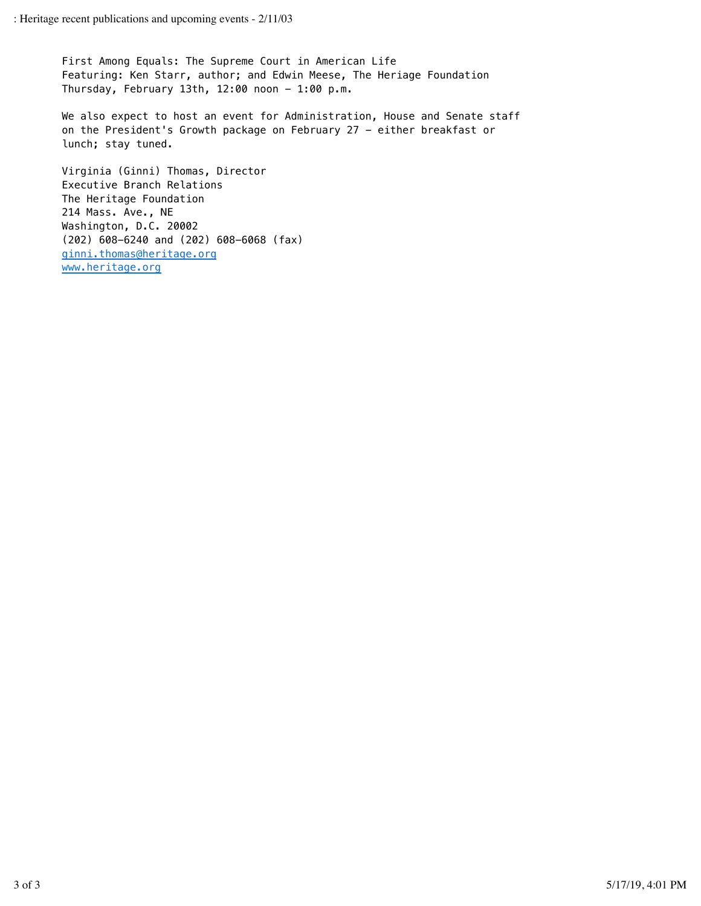First Among Equals: The Supreme Court in American Life Featuring: Ken Starr, author; and Edwin Meese, The Heriage Foundation Thursday, February 13th, 12:00 noon  $-$  1:00 p.m.

We also expect to host an event for Administration, House and Senate staff on the President's Growth package on February 27 - either breakfast or lunch; stay tuned.

Virginia (Ginni) Thomas, Director Executive Branch Relations The Heritage Foundation 214 Mass. Ave., NE Washington, D.C. 20002 (202) 608-6240 and (202) 608-6068 (fax) ginni.thomas@heritage.org www.heritage.org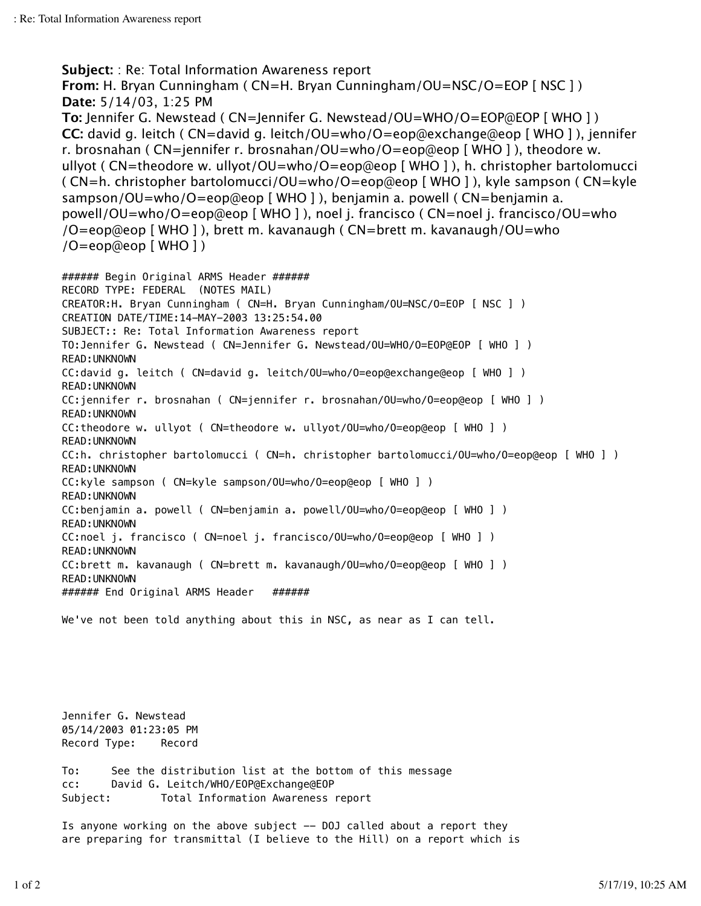```
Subject: : Re: Total Information Awareness report
From: H. Bryan Cunningham ( CN=H. Bryan Cunningham/OU=NSC/O=EOP [ NSC ] )
Date: 5/14/03, 1:25 PM
To: Jennifer G. Newstead ( CN=Jennifer G. Newstead/OU=WHO/O=EOP@EOP [ WHO ] )
CC: david g. leitch ( CN=david g. leitch/OU=who/O=eop@exchange@eop [ WHO ] ), jennifer
r. brosnahan ( CN=jennifer r. brosnahan/OU=who/O=eop@eop [ WHO ] ), theodore w.
ullyot ( CN=theodore w. ullyot/OU=who/O=eop@eop [ WHO ] ), h. christopher bartolomucci
( CN=h. christopher bartolomucci/OU=who/O=eop@eop [ WHO ] ), kyle sampson ( CN=kyle
sampson/OU=who/O=eop@eop [ WHO ] ), benjamin a. powell ( CN=benjamin a.
powell/OU=who/O=eop@eop [ WHO ] ), noel j. francisco ( CN=noel j. francisco/OU=who
/O=eop@eop [ WHO ] ), brett m. kavanaugh ( CN=brett m. kavanaugh/OU=who
/O=eop@eop [ WHO ] )
###### Begin Original ARMS Header ######
RECORD TYPE: FEDERAL (NOTES MAIL)
CREATOR:H. Bryan Cunningham ( CN=H. Bryan Cunningham/OU=NSC/O=EOP [ NSC ] )
CREATION DATE/TIME:14-MAY-2003 13:25:54.00
SUBJECT:: Re: Total Information Awareness report
TO:Jennifer G. Newstead ( CN=Jennifer G. Newstead/OU=WHO/O=EOP@EOP [ WHO ] )
READ:UNKNOWN
CC:david g. leitch ( CN=david g. leitch/OU=who/O=eop@exchange@eop [ WHO ] )
READ:UNKNOWN
CC:jennifer r. brosnahan ( CN=jennifer r. brosnahan/OU=who/O=eop@eop [ WHO ] )
READ:UNKNOWN
CC:theodore w. ullyot ( CN=theodore w. ullyot/OU=who/O=eop@eop [ WHO ] )
READ:UNKNOWN
CC:h. christopher bartolomucci ( CN=h. christopher bartolomucci/OU=who/O=eop@eop [ WHO ] )
READ:UNKNOWN
CC:kyle sampson ( CN=kyle sampson/OU=who/O=eop@eop [ WHO ] )
READ:UNKNOWN
CC:benjamin a. powell ( CN=benjamin a. powell/OU=who/O=eop@eop [ WHO ] )
READ:UNKNOWN
CC:noel j. francisco ( CN=noel j. francisco/OU=who/O=eop@eop [ WHO ] )
READ:UNKNOWN
CC:brett m. kavanaugh ( CN=brett m. kavanaugh/OU=who/O=eop@eop [ WHO ] )
READ:UNKNOWN
####### End Original ARMS Header ######
```
We've not been told anything about this in NSC, as near as I can tell.

Jennifer G. Newstead 05/14/2003 01:23:05 PM Record Type: Record

To: See the distribution list at the bottom of this message cc: David G. Leitch/WHO/EOP@Exchange@EOP Subject: Total Information Awareness report

Is anyone working on the above subject -- DOJ called about a report they are preparing for transmittal (I believe to the Hill) on a report which is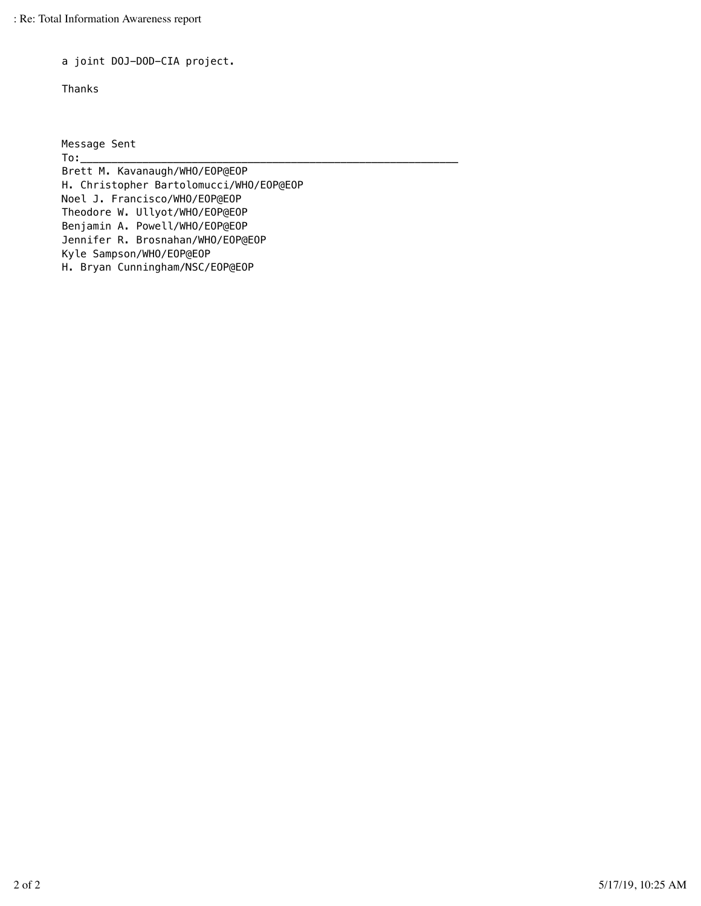a joint DOJ-DOD-CIA project.

Thanks

Message Sent

To:\_\_\_\_\_\_\_\_\_\_\_\_\_\_\_\_\_\_\_\_\_\_\_\_\_\_\_\_\_\_\_\_\_\_\_\_\_\_\_\_\_\_\_\_\_\_\_\_\_\_\_\_\_\_\_\_\_\_\_\_\_ Brett M. Kavanaugh/WHO/EOP@EOP H. Christopher Bartolomucci/WHO/EOP@EOP Noel J. Francisco/WHO/EOP@EOP Theodore W. Ullyot/WHO/EOP@EOP Benjamin A. Powell/WHO/EOP@EOP Jennifer R. Brosnahan/WHO/EOP@EOP Kyle Sampson/WHO/EOP@EOP H. Bryan Cunningham/NSC/EOP@EOP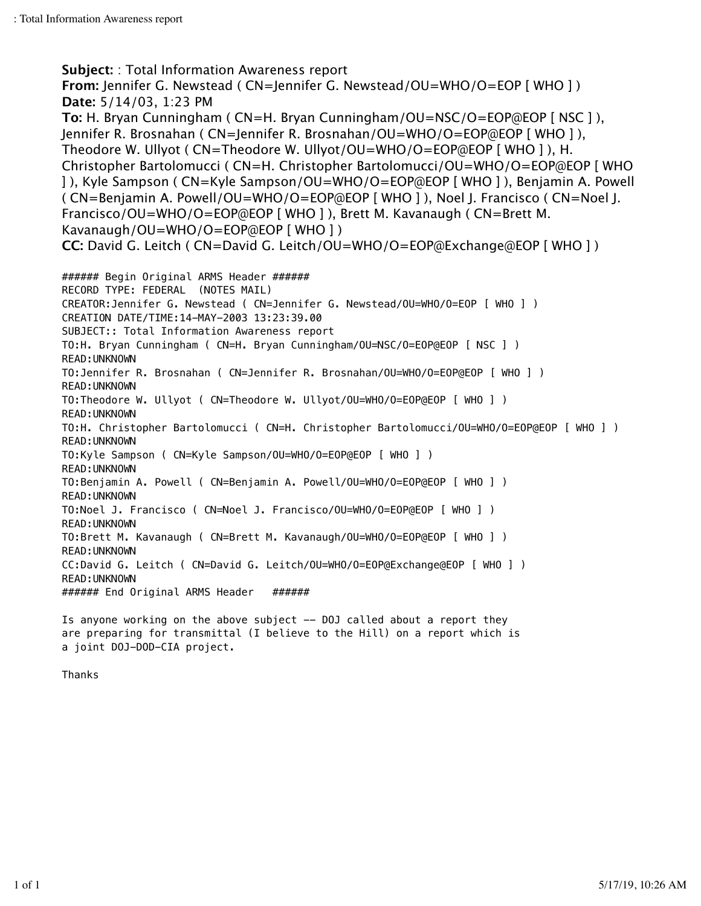**Subject:** : Total Information Awareness report **From:** Jennifer G. Newstead ( CN=Jennifer G. Newstead/OU=WHO/O=EOP [ WHO ] ) **Date:** 5/14/03, 1:23 PM **To:** H. Bryan Cunningham ( CN=H. Bryan Cunningham/OU=NSC/O=EOP@EOP [ NSC ] ), Jennifer R. Brosnahan ( CN=Jennifer R. Brosnahan/OU=WHO/O=EOP@EOP [ WHO ] ), Theodore W. Ullyot ( CN=Theodore W. Ullyot/OU=WHO/O=EOP@EOP [ WHO ] ), H. Christopher Bartolomucci ( CN=H. Christopher Bartolomucci/OU=WHO/O=EOP@EOP [ WHO ] ), Kyle Sampson ( CN=Kyle Sampson/OU=WHO/O=EOP@EOP [ WHO ] ), Benjamin A. Powell ( CN=Benjamin A. Powell/OU=WHO/O=EOP@EOP [ WHO ] ), Noel J. Francisco ( CN=Noel J. Francisco/OU=WHO/O=EOP@EOP [ WHO ] ), Brett M. Kavanaugh ( CN=Brett M. Kavanaugh/OU=WHO/O=EOP@EOP [ WHO ] ) **CC:** David G. Leitch ( CN=David G. Leitch/OU=WHO/O=EOP@Exchange@EOP [ WHO ] ) ####### Begin Original ARMS Header ###### RECORD TYPE: FEDERAL (NOTES MAIL) CREATOR:Jennifer G. Newstead ( CN=Jennifer G. Newstead/OU=WHO/O=EOP [ WHO ] ) CREATION DATE/TIME:14-MAY-2003 13:23:39.00 SUBJECT:: Total Information Awareness report TO:H. Bryan Cunningham ( CN=H. Bryan Cunningham/OU=NSC/O=EOP@EOP [ NSC ] ) READ:UNKNOWN TO:Jennifer R. Brosnahan ( CN=Jennifer R. Brosnahan/OU=WHO/O=EOP@EOP [ WHO ] ) READ:UNKNOWN TO:Theodore W. Ullyot ( CN=Theodore W. Ullyot/OU=WHO/O=EOP@EOP [ WHO ] ) READ:UNKNOWN TO:H. Christopher Bartolomucci ( CN=H. Christopher Bartolomucci/OU=WHO/O=EOP@EOP [ WHO ] ) READ:UNKNOWN TO:Kyle Sampson ( CN=Kyle Sampson/OU=WHO/O=EOP@EOP [ WHO ] ) READ:UNKNOWN TO:Benjamin A. Powell ( CN=Benjamin A. Powell/OU=WHO/O=EOP@EOP [ WHO ] ) READ:UNKNOWN TO:Noel J. Francisco ( CN=Noel J. Francisco/OU=WHO/O=EOP@EOP [ WHO ] ) READ:UNKNOWN TO:Brett M. Kavanaugh ( CN=Brett M. Kavanaugh/OU=WHO/O=EOP@EOP [ WHO ] ) READ:UNKNOWN CC:David G. Leitch ( CN=David G. Leitch/OU=WHO/O=EOP@Exchange@EOP [ WHO ] ) READ:UNKNOWN ####### End Original ARMS Header ###### Is anyone working on the above subject -- DOJ called about a report they are preparing for transmittal (I believe to the Hill) on a report which is

Thanks

a joint DOJ-DOD-CIA project.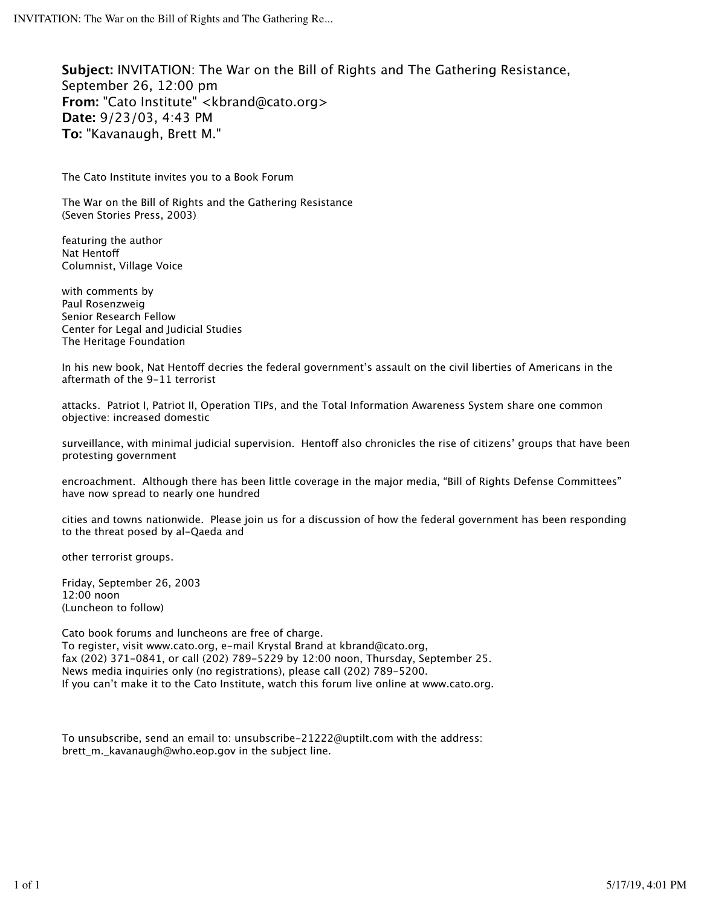**Subject:** INVITATION: The War on the Bill of Rights and The Gathering Resistance, September 26, 12:00 pm **From:** "Cato Institute" <kbrand@cato.org> **Date:** 9/23/03, 4:43 PM **To:** "Kavanaugh, Brett M."

The Cato Institute invites you to a Book Forum

The War on the Bill of Rights and the Gathering Resistance (Seven Stories Press, 2003)

featuring the author Nat Hentof Columnist, Village Voice

with comments by Paul Rosenzweig Senior Research Fellow Center for Legal and Judicial Studies The Heritage Foundation

In his new book, Nat Hentoff decries the federal government's assault on the civil liberties of Americans in the aftermath of the 9-11 terrorist

attacks. Patriot I, Patriot II, Operation TIPs, and the Total Information Awareness System share one common objective: increased domestic

surveillance, with minimal judicial supervision. Hentoff also chronicles the rise of citizens' groups that have been protesting government

encroachment. Although there has been little coverage in the major media, "Bill of Rights Defense Committees" have now spread to nearly one hundred

cities and towns nationwide. Please join us for a discussion of how the federal government has been responding to the threat posed by al-Qaeda and

other terrorist groups.

Friday, September 26, 2003 12:00 noon (Luncheon to follow)

Cato book forums and luncheons are free of charge. To register, visit www.cato.org, e-mail Krystal Brand at kbrand@cato.org, fax (202) 371-0841, or call (202) 789-5229 by 12:00 noon, Thursday, September 25. News media inquiries only (no registrations), please call (202) 789-5200. If you can't make it to the Cato Institute, watch this forum live online at www.cato.org.

To unsubscribe, send an email to: unsubscribe-21222@uptilt.com with the address: brett\_m.\_kavanaugh@who.eop.gov in the subject line.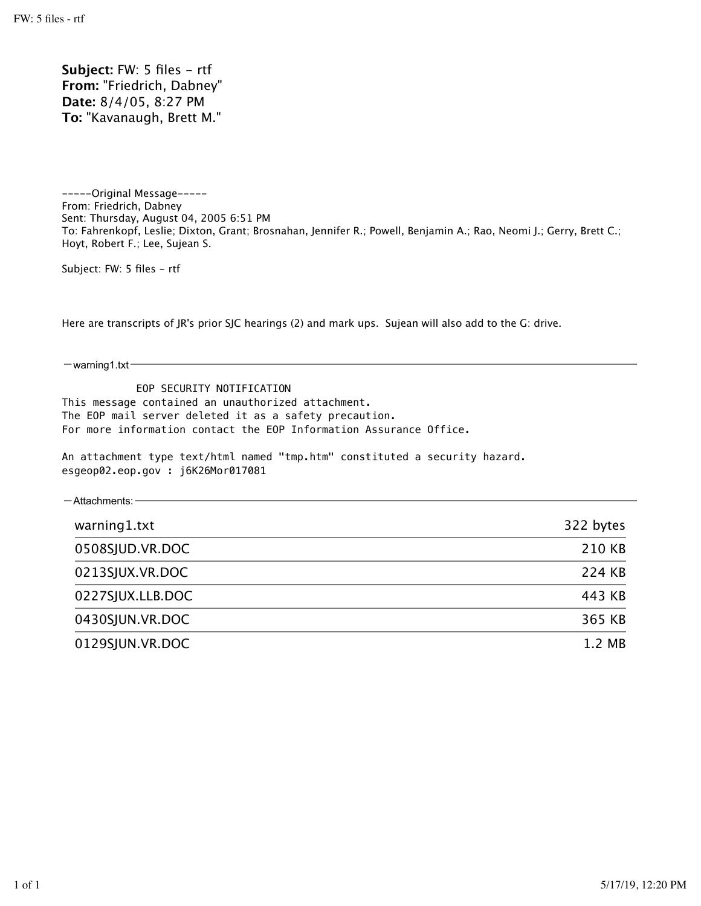Subject: FW: 5 files - rtf **From:** "Friedrich, Dabney" **Date:** 8/4/05, 8:27 PM **To:** "Kavanaugh, Brett M."

-----Original Message----- From: Friedrich, Dabney Sent: Thursday, August 04, 2005 6:51 PM To: Fahrenkopf, Leslie; Dixton, Grant; Brosnahan, Jennifer R.; Powell, Benjamin A.; Rao, Neomi J.; Gerry, Brett C.; Hoyt, Robert F.; Lee, Sujean S.

Subject: FW: 5 files - rtf

Here are transcripts of JR's prior SJC hearings (2) and mark ups. Sujean will also add to the G: drive.

 $-$ warning1.txt-

 EOP SECURITY NOTIFICATION This message contained an unauthorized attachment. The EOP mail server deleted it as a safety precaution. For more information contact the EOP Information Assurance Office.

An attachment type text/html named "tmp.htm" constituted a security hazard. esgeop02.eop.gov : j6K26Mor017081

| $-$ Attachments: $-$ |           |
|----------------------|-----------|
| warning1.txt         | 322 bytes |
| 0508SJUD.VR.DOC      | 210 KB    |
| 0213SJUX.VR.DOC      | 224 KB    |
| 0227SJUX.LLB.DOC     | 443 KB    |
| 0430SJUN.VR.DOC      | 365 KB    |
| 0129SJUN.VR.DOC      | 1.2 MB    |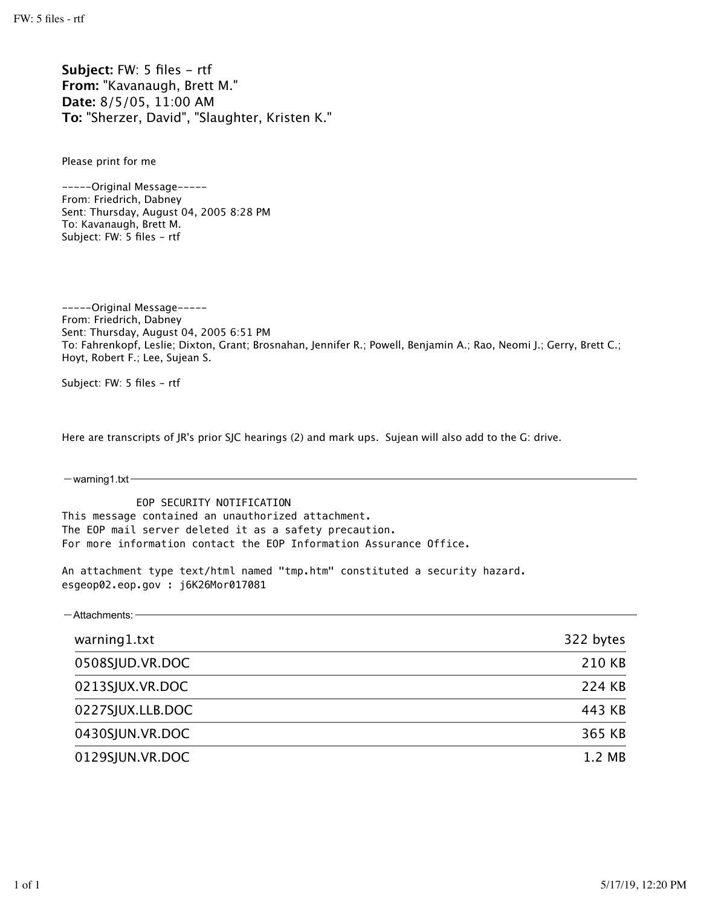Subject: FW: 5 files - rtf **From:** "Kavanaugh, Brett M." **Date:** 8/5/05, 11:00 AM **To:** "Sherzer, David", "Slaughter, Kristen K."

Please print for me

-----Original Message----- From: Friedrich, Dabney Sent: Thursday, August 04, 2005 8:28 PM To: Kavanaugh, Brett M. Subject: FW: 5 files - rtf

-----Original Message----- From: Friedrich, Dabney Sent: Thursday, August 04, 2005 6:51 PM To: Fahrenkopf, Leslie; Dixton, Grant; Brosnahan, Jennifer R.; Powell, Benjamin A.; Rao, Neomi J.; Gerry, Brett C.; Hoyt, Robert F.; Lee, Sujean S.

Subject: FW: 5 files - rtf

Here are transcripts of JR's prior SJC hearings (2) and mark ups. Sujean will also add to the G: drive.

 $-$ warning1.txt $-$ 

 EOP SECURITY NOTIFICATION This message contained an unauthorized attachment. The EOP mail server deleted it as a safety precaution. For more information contact the EOP Information Assurance Office.

An attachment type text/html named "tmp.htm" constituted a security hazard. esgeop02.eop.gov : j6K26Mor017081

| $-$ Attachments: $-$ |           |
|----------------------|-----------|
| warning1.txt         | 322 bytes |
| 0508SJUD.VR.DOC      | 210 KB    |
| 0213SJUX.VR.DOC      | 224 KB    |
| 0227SJUX.LLB.DOC     | 443 KB    |
| 0430SJUN.VR.DOC      | 365 KB    |
| 0129SJUN.VR.DOC      | 1.2 MB    |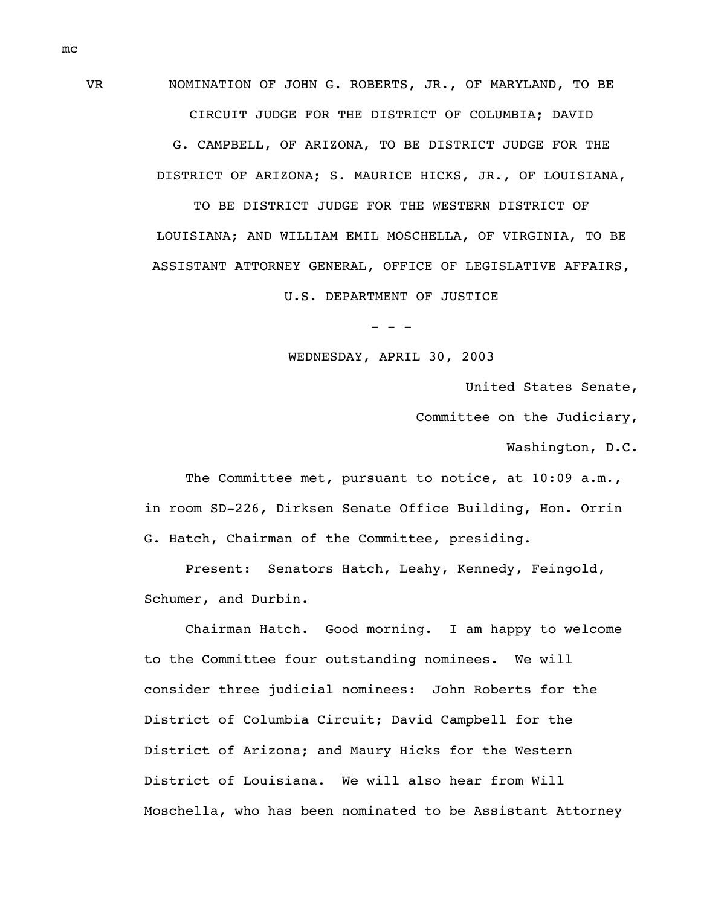VR NOMINATION OF JOHN G. ROBERTS, JR., OF MARYLAND, TO BE CIRCUIT JUDGE FOR THE DISTRICT OF COLUMBIA; DAVID

> G. CAMPBELL, OF ARIZONA, TO BE DISTRICT JUDGE FOR THE DISTRICT OF ARIZONA; S. MAURICE HICKS, JR., OF LOUISIANA,

TO BE DISTRICT JUDGE FOR THE WESTERN DISTRICT OF LOUISIANA; AND WILLIAM EMIL MOSCHELLA, OF VIRGINIA, TO BE ASSISTANT ATTORNEY GENERAL, OFFICE OF LEGISLATIVE AFFAIRS,

U.S. DEPARTMENT OF JUSTICE

- - -

WEDNESDAY, APRIL 30, 2003

United States Senate,

Committee on the Judiciary,

Washington, D.C.

The Committee met, pursuant to notice, at 10:09 a.m., in room SD-226, Dirksen Senate Office Building, Hon. Orrin G. Hatch, Chairman of the Committee, presiding.

Present: Senators Hatch, Leahy, Kennedy, Feingold, Schumer, and Durbin.

Chairman Hatch. Good morning. I am happy to welcome to the Committee four outstanding nominees. We will consider three judicial nominees: John Roberts for the District of Columbia Circuit; David Campbell for the District of Arizona; and Maury Hicks for the Western District of Louisiana. We will also hear from Will Moschella, who has been nominated to be Assistant Attorney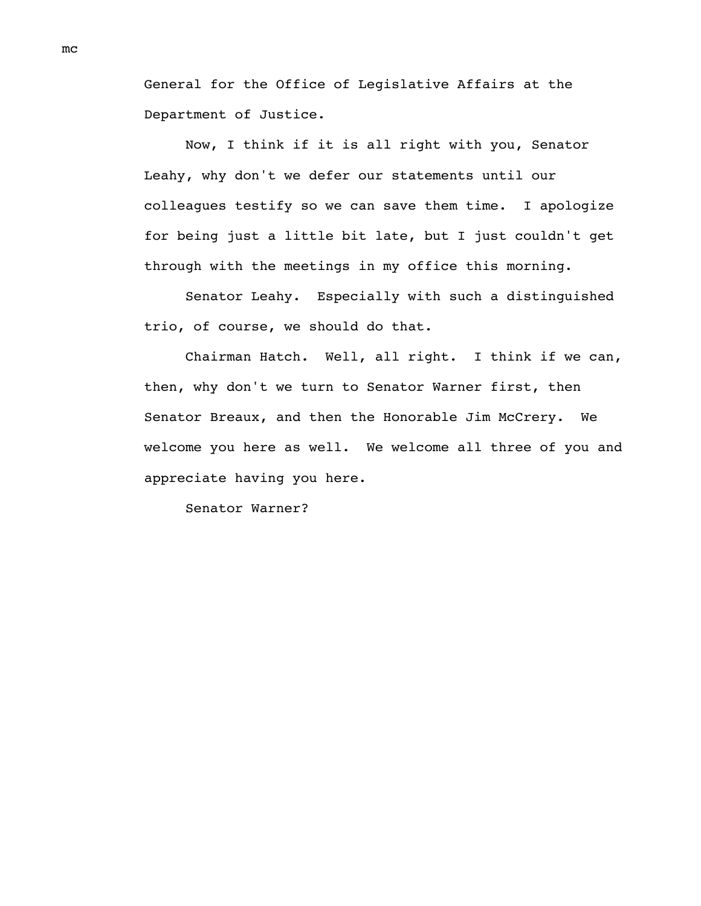General for the Office of Legislative Affairs at the Department of Justice.

Now, I think if it is all right with you, Senator Leahy, why don't we defer our statements until our colleagues testify so we can save them time. I apologize for being just a little bit late, but I just couldn't get through with the meetings in my office this morning.

Senator Leahy. Especially with such a distinguished trio, of course, we should do that.

Chairman Hatch. Well, all right. I think if we can, then, why don't we turn to Senator Warner first, then Senator Breaux, and then the Honorable Jim McCrery. We welcome you here as well. We welcome all three of you and appreciate having you here.

Senator Warner?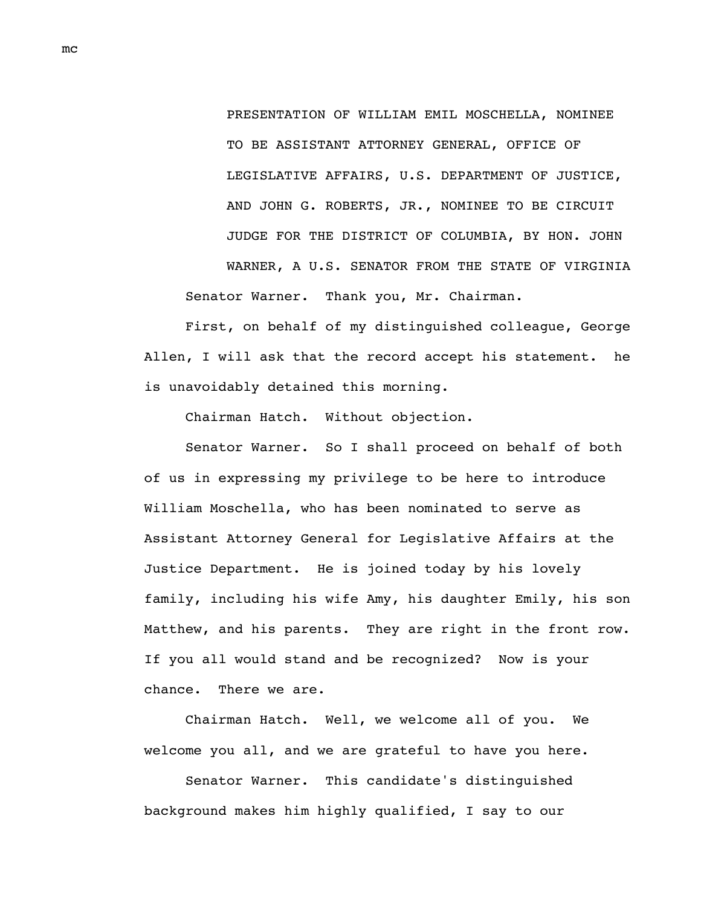PRESENTATION OF WILLIAM EMIL MOSCHELLA, NOMINEE TO BE ASSISTANT ATTORNEY GENERAL, OFFICE OF LEGISLATIVE AFFAIRS, U.S. DEPARTMENT OF JUSTICE, AND JOHN G. ROBERTS, JR., NOMINEE TO BE CIRCUIT JUDGE FOR THE DISTRICT OF COLUMBIA, BY HON. JOHN WARNER, A U.S. SENATOR FROM THE STATE OF VIRGINIA Senator Warner. Thank you, Mr. Chairman.

First, on behalf of my distinguished colleague, George Allen, I will ask that the record accept his statement. he is unavoidably detained this morning.

Chairman Hatch. Without objection.

Senator Warner. So I shall proceed on behalf of both of us in expressing my privilege to be here to introduce William Moschella, who has been nominated to serve as Assistant Attorney General for Legislative Affairs at the Justice Department. He is joined today by his lovely family, including his wife Amy, his daughter Emily, his son Matthew, and his parents. They are right in the front row. If you all would stand and be recognized? Now is your chance. There we are.

Chairman Hatch. Well, we welcome all of you. We welcome you all, and we are grateful to have you here.

Senator Warner. This candidate's distinguished background makes him highly qualified, I say to our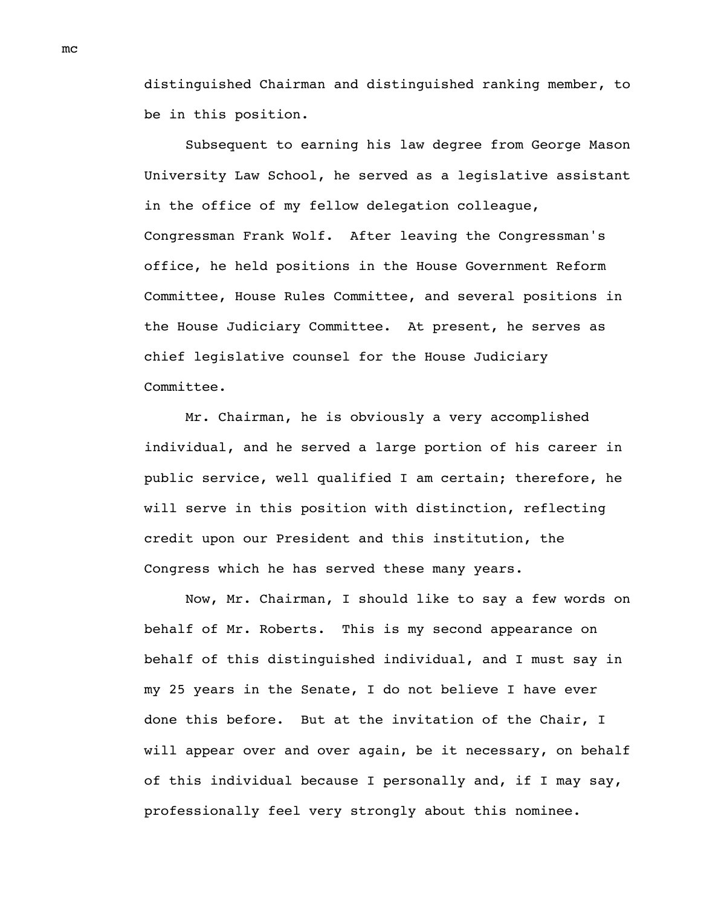distinguished Chairman and distinguished ranking member, to be in this position.

Subsequent to earning his law degree from George Mason University Law School, he served as a legislative assistant in the office of my fellow delegation colleague, Congressman Frank Wolf. After leaving the Congressman's office, he held positions in the House Government Reform Committee, House Rules Committee, and several positions in the House Judiciary Committee. At present, he serves as chief legislative counsel for the House Judiciary Committee.

Mr. Chairman, he is obviously a very accomplished individual, and he served a large portion of his career in public service, well qualified I am certain; therefore, he will serve in this position with distinction, reflecting credit upon our President and this institution, the Congress which he has served these many years.

Now, Mr. Chairman, I should like to say a few words on behalf of Mr. Roberts. This is my second appearance on behalf of this distinguished individual, and I must say in my 25 years in the Senate, I do not believe I have ever done this before. But at the invitation of the Chair, I will appear over and over again, be it necessary, on behalf of this individual because I personally and, if I may say, professionally feel very strongly about this nominee.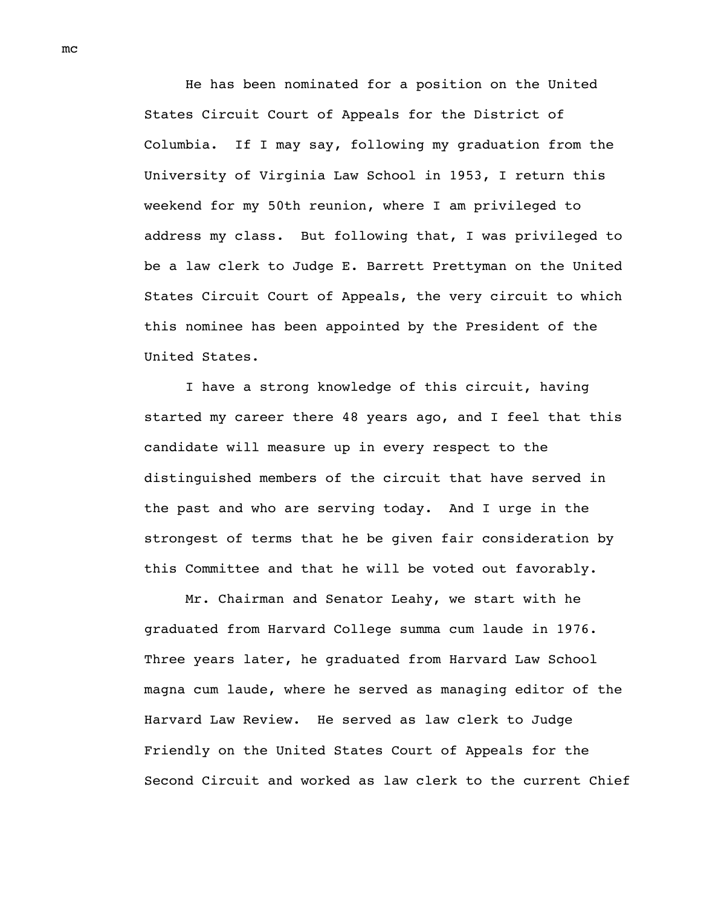He has been nominated for a position on the United States Circuit Court of Appeals for the District of Columbia. If I may say, following my graduation from the University of Virginia Law School in 1953, I return this weekend for my 50th reunion, where I am privileged to address my class. But following that, I was privileged to be a law clerk to Judge E. Barrett Prettyman on the United States Circuit Court of Appeals, the very circuit to which this nominee has been appointed by the President of the United States.

I have a strong knowledge of this circuit, having started my career there 48 years ago, and I feel that this candidate will measure up in every respect to the distinguished members of the circuit that have served in the past and who are serving today. And I urge in the strongest of terms that he be given fair consideration by this Committee and that he will be voted out favorably.

Mr. Chairman and Senator Leahy, we start with he graduated from Harvard College summa cum laude in 1976. Three years later, he graduated from Harvard Law School magna cum laude, where he served as managing editor of the Harvard Law Review. He served as law clerk to Judge Friendly on the United States Court of Appeals for the Second Circuit and worked as law clerk to the current Chief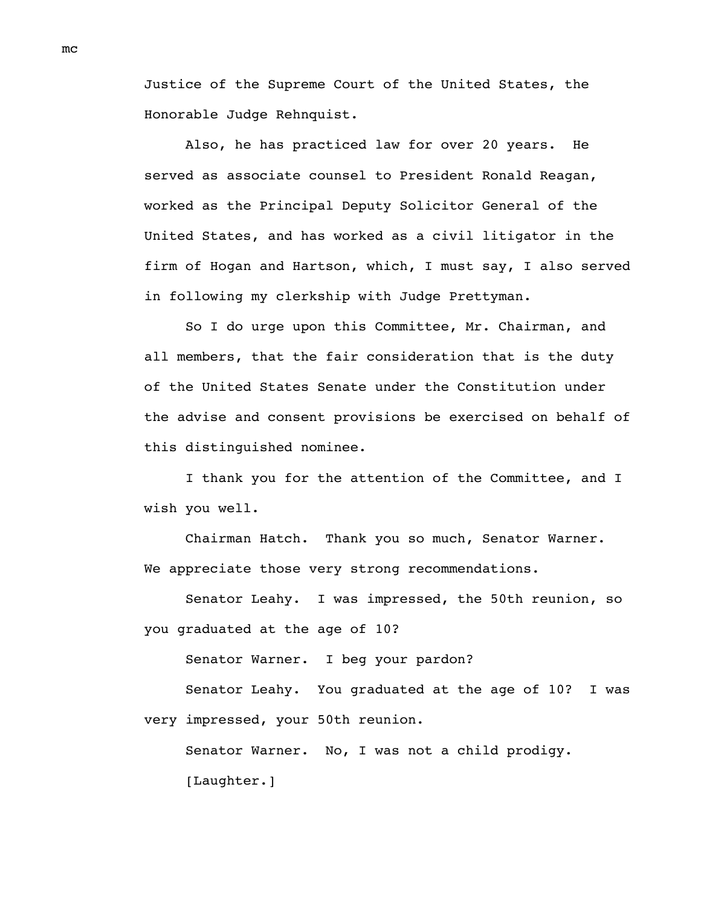Justice of the Supreme Court of the United States, the Honorable Judge Rehnquist.

Also, he has practiced law for over 20 years. He served as associate counsel to President Ronald Reagan, worked as the Principal Deputy Solicitor General of the United States, and has worked as a civil litigator in the firm of Hogan and Hartson, which, I must say, I also served in following my clerkship with Judge Prettyman.

So I do urge upon this Committee, Mr. Chairman, and all members, that the fair consideration that is the duty of the United States Senate under the Constitution under the advise and consent provisions be exercised on behalf of this distinguished nominee.

I thank you for the attention of the Committee, and I wish you well.

Chairman Hatch. Thank you so much, Senator Warner. We appreciate those very strong recommendations.

Senator Leahy. I was impressed, the 50th reunion, so you graduated at the age of 10?

Senator Warner. I beg your pardon?

Senator Leahy. You graduated at the age of 10? I was very impressed, your 50th reunion.

Senator Warner. No, I was not a child prodigy. [Laughter.]

mc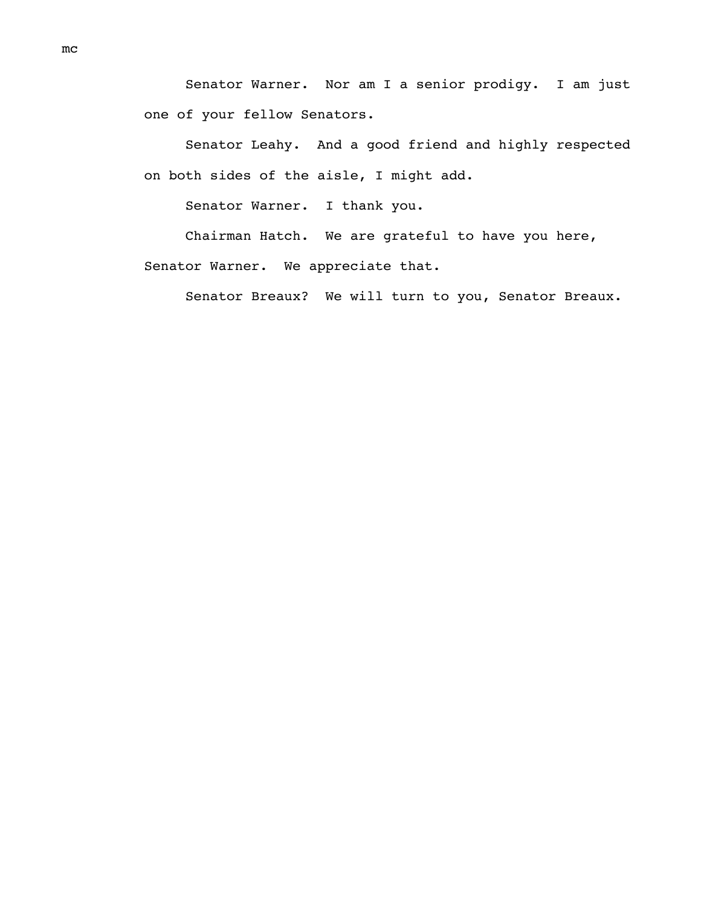Senator Warner. Nor am I a senior prodigy. I am just one of your fellow Senators.

Senator Leahy. And a good friend and highly respected on both sides of the aisle, I might add.

Senator Warner. I thank you.

Chairman Hatch. We are grateful to have you here, Senator Warner. We appreciate that.

Senator Breaux? We will turn to you, Senator Breaux.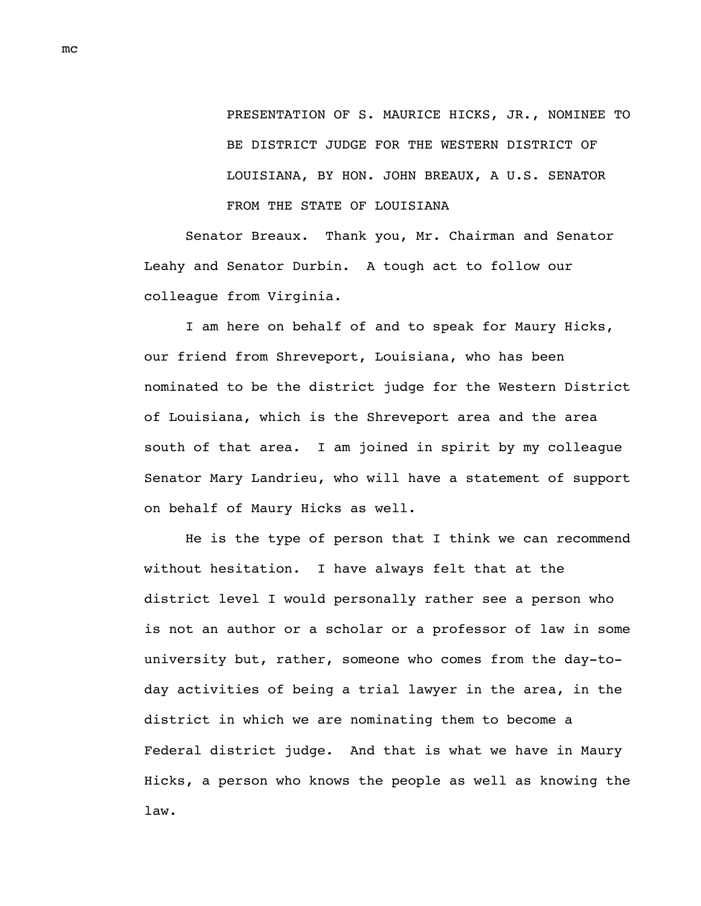PRESENTATION OF S. MAURICE HICKS, JR., NOMINEE TO BE DISTRICT JUDGE FOR THE WESTERN DISTRICT OF LOUISIANA, BY HON. JOHN BREAUX, A U.S. SENATOR FROM THE STATE OF LOUISIANA

Senator Breaux. Thank you, Mr. Chairman and Senator Leahy and Senator Durbin. A tough act to follow our colleague from Virginia.

I am here on behalf of and to speak for Maury Hicks, our friend from Shreveport, Louisiana, who has been nominated to be the district judge for the Western District of Louisiana, which is the Shreveport area and the area south of that area. I am joined in spirit by my colleague Senator Mary Landrieu, who will have a statement of support on behalf of Maury Hicks as well.

He is the type of person that I think we can recommend without hesitation. I have always felt that at the district level I would personally rather see a person who is not an author or a scholar or a professor of law in some university but, rather, someone who comes from the day-today activities of being a trial lawyer in the area, in the district in which we are nominating them to become a Federal district judge. And that is what we have in Maury Hicks, a person who knows the people as well as knowing the law.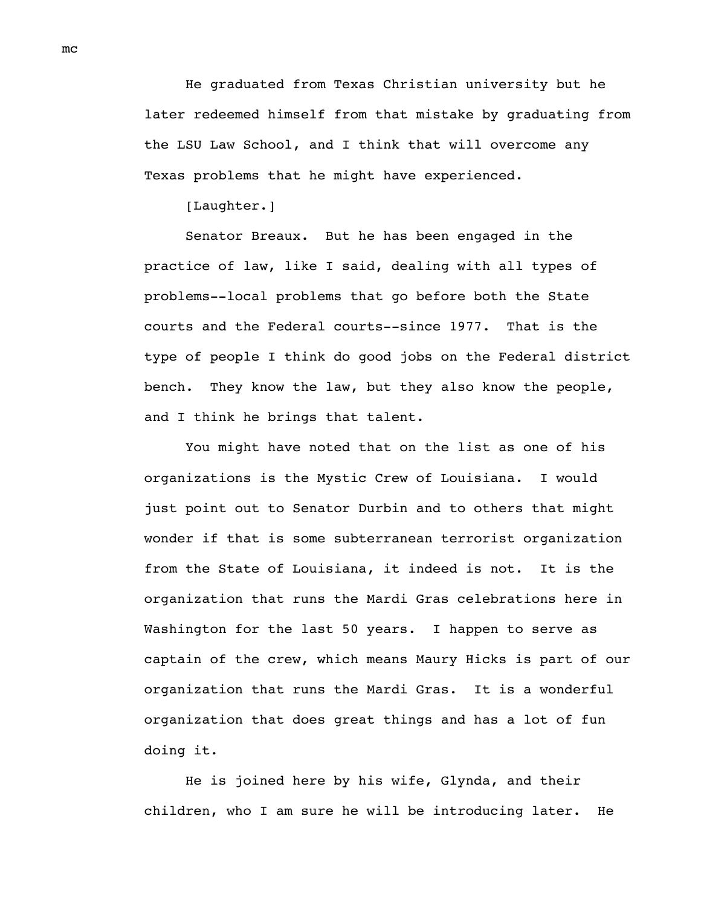He graduated from Texas Christian university but he later redeemed himself from that mistake by graduating from the LSU Law School, and I think that will overcome any Texas problems that he might have experienced.

[Laughter.]

Senator Breaux. But he has been engaged in the practice of law, like I said, dealing with all types of problems--local problems that go before both the State courts and the Federal courts--since 1977. That is the type of people I think do good jobs on the Federal district bench. They know the law, but they also know the people, and I think he brings that talent.

You might have noted that on the list as one of his organizations is the Mystic Crew of Louisiana. I would just point out to Senator Durbin and to others that might wonder if that is some subterranean terrorist organization from the State of Louisiana, it indeed is not. It is the organization that runs the Mardi Gras celebrations here in Washington for the last 50 years. I happen to serve as captain of the crew, which means Maury Hicks is part of our organization that runs the Mardi Gras. It is a wonderful organization that does great things and has a lot of fun doing it.

He is joined here by his wife, Glynda, and their children, who I am sure he will be introducing later. He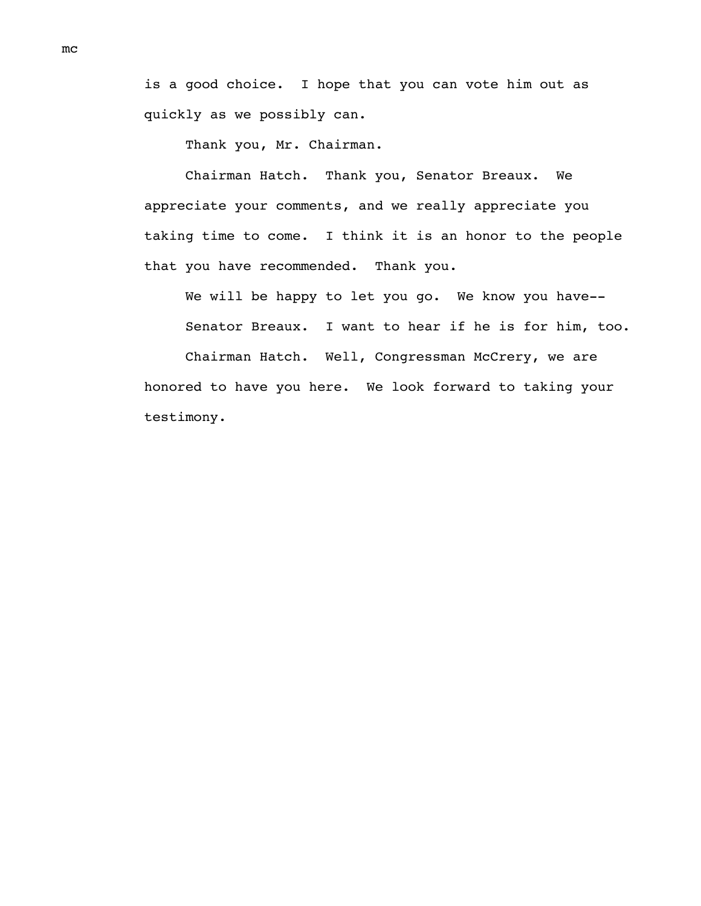is a good choice. I hope that you can vote him out as quickly as we possibly can.

Thank you, Mr. Chairman.

Chairman Hatch. Thank you, Senator Breaux. We appreciate your comments, and we really appreciate you taking time to come. I think it is an honor to the people that you have recommended. Thank you.

We will be happy to let you go. We know you have-- Senator Breaux. I want to hear if he is for him, too.

Chairman Hatch. Well, Congressman McCrery, we are honored to have you here. We look forward to taking your testimony.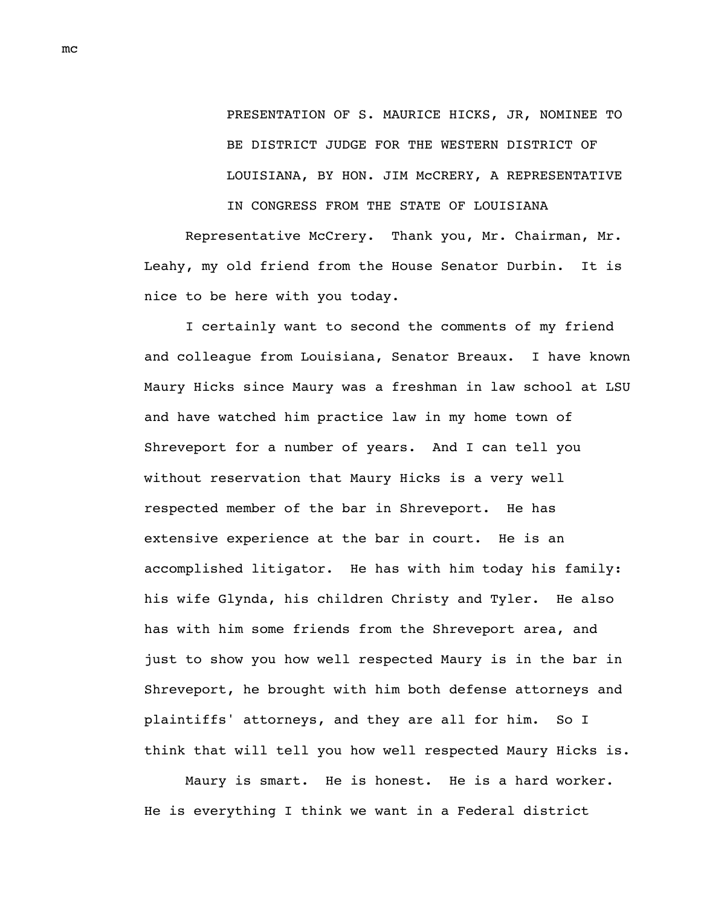PRESENTATION OF S. MAURICE HICKS, JR, NOMINEE TO BE DISTRICT JUDGE FOR THE WESTERN DISTRICT OF LOUISIANA, BY HON. JIM McCRERY, A REPRESENTATIVE IN CONGRESS FROM THE STATE OF LOUISIANA

Representative McCrery. Thank you, Mr. Chairman, Mr. Leahy, my old friend from the House Senator Durbin. It is nice to be here with you today.

I certainly want to second the comments of my friend and colleague from Louisiana, Senator Breaux. I have known Maury Hicks since Maury was a freshman in law school at LSU and have watched him practice law in my home town of Shreveport for a number of years. And I can tell you without reservation that Maury Hicks is a very well respected member of the bar in Shreveport. He has extensive experience at the bar in court. He is an accomplished litigator. He has with him today his family: his wife Glynda, his children Christy and Tyler. He also has with him some friends from the Shreveport area, and just to show you how well respected Maury is in the bar in Shreveport, he brought with him both defense attorneys and plaintiffs' attorneys, and they are all for him. So I think that will tell you how well respected Maury Hicks is.

Maury is smart. He is honest. He is a hard worker. He is everything I think we want in a Federal district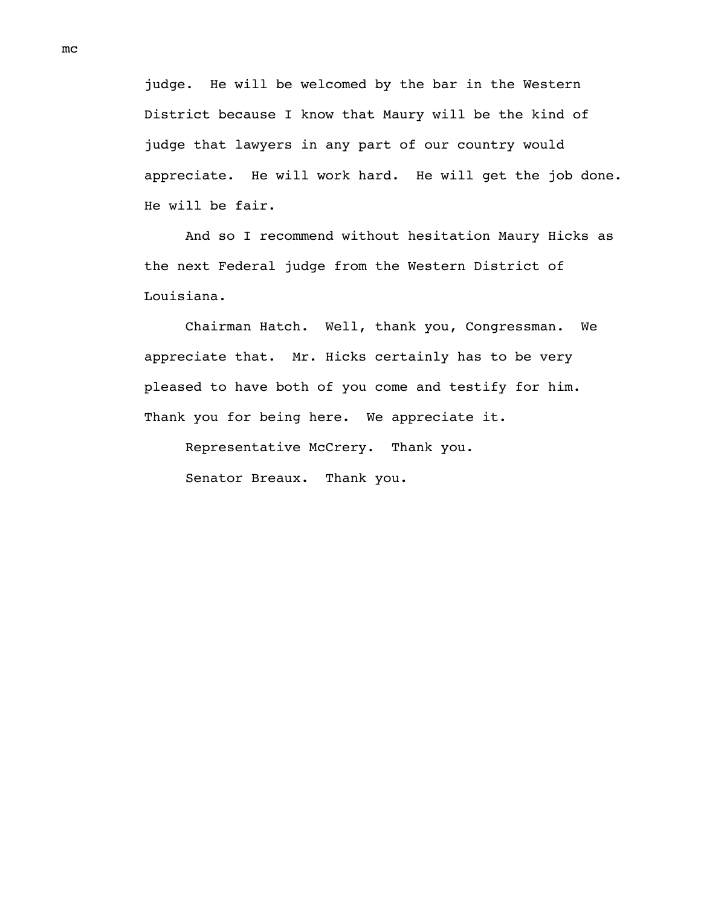judge. He will be welcomed by the bar in the Western District because I know that Maury will be the kind of judge that lawyers in any part of our country would appreciate. He will work hard. He will get the job done. He will be fair.

And so I recommend without hesitation Maury Hicks as the next Federal judge from the Western District of Louisiana.

Chairman Hatch. Well, thank you, Congressman. We appreciate that. Mr. Hicks certainly has to be very pleased to have both of you come and testify for him. Thank you for being here. We appreciate it.

Representative McCrery. Thank you.

Senator Breaux. Thank you.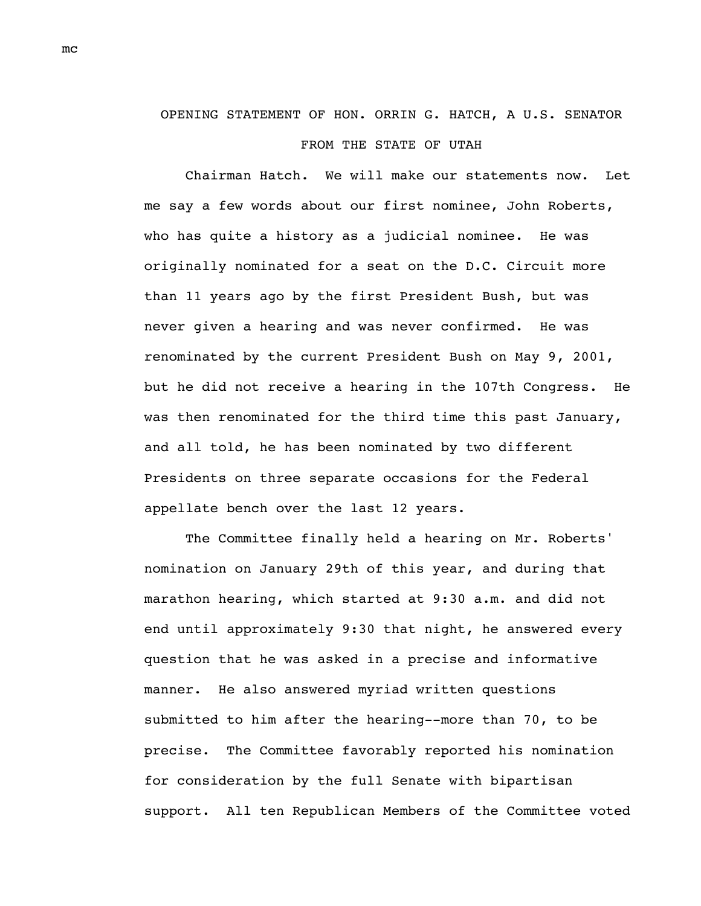## OPENING STATEMENT OF HON. ORRIN G. HATCH, A U.S. SENATOR FROM THE STATE OF UTAH

Chairman Hatch. We will make our statements now. Let me say a few words about our first nominee, John Roberts, who has quite a history as a judicial nominee. He was originally nominated for a seat on the D.C. Circuit more than 11 years ago by the first President Bush, but was never given a hearing and was never confirmed. He was renominated by the current President Bush on May 9, 2001, but he did not receive a hearing in the 107th Congress. He was then renominated for the third time this past January, and all told, he has been nominated by two different Presidents on three separate occasions for the Federal appellate bench over the last 12 years.

The Committee finally held a hearing on Mr. Roberts' nomination on January 29th of this year, and during that marathon hearing, which started at 9:30 a.m. and did not end until approximately 9:30 that night, he answered every question that he was asked in a precise and informative manner. He also answered myriad written questions submitted to him after the hearing--more than 70, to be precise. The Committee favorably reported his nomination for consideration by the full Senate with bipartisan support. All ten Republican Members of the Committee voted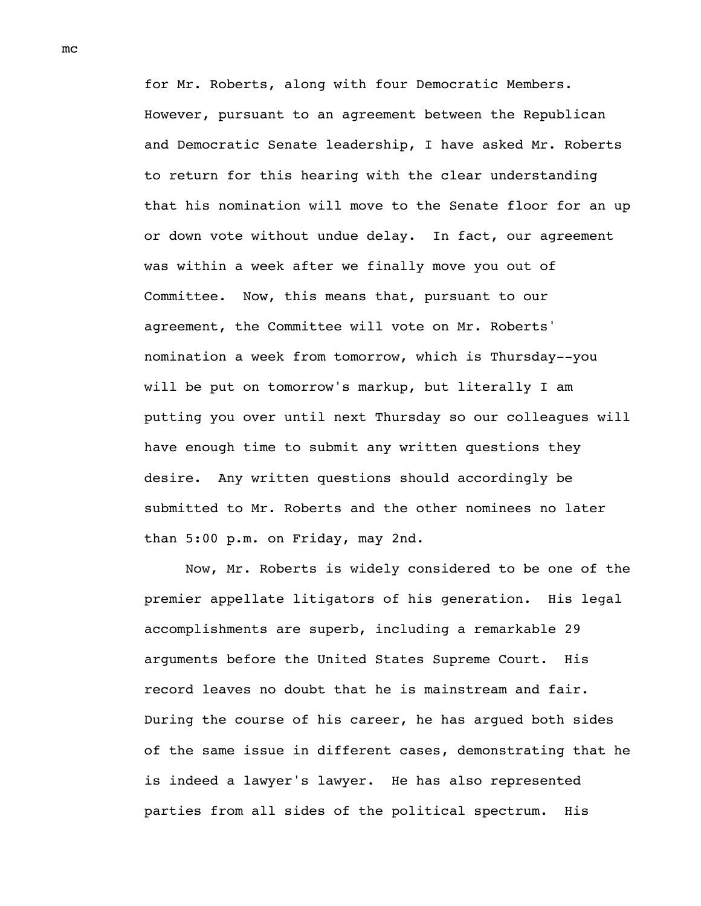for Mr. Roberts, along with four Democratic Members. However, pursuant to an agreement between the Republican and Democratic Senate leadership, I have asked Mr. Roberts to return for this hearing with the clear understanding that his nomination will move to the Senate floor for an up or down vote without undue delay. In fact, our agreement was within a week after we finally move you out of Committee. Now, this means that, pursuant to our agreement, the Committee will vote on Mr. Roberts' nomination a week from tomorrow, which is Thursday--you will be put on tomorrow's markup, but literally I am putting you over until next Thursday so our colleagues will have enough time to submit any written questions they desire. Any written questions should accordingly be submitted to Mr. Roberts and the other nominees no later than 5:00 p.m. on Friday, may 2nd.

Now, Mr. Roberts is widely considered to be one of the premier appellate litigators of his generation. His legal accomplishments are superb, including a remarkable 29 arguments before the United States Supreme Court. His record leaves no doubt that he is mainstream and fair. During the course of his career, he has argued both sides of the same issue in different cases, demonstrating that he is indeed a lawyer's lawyer. He has also represented parties from all sides of the political spectrum. His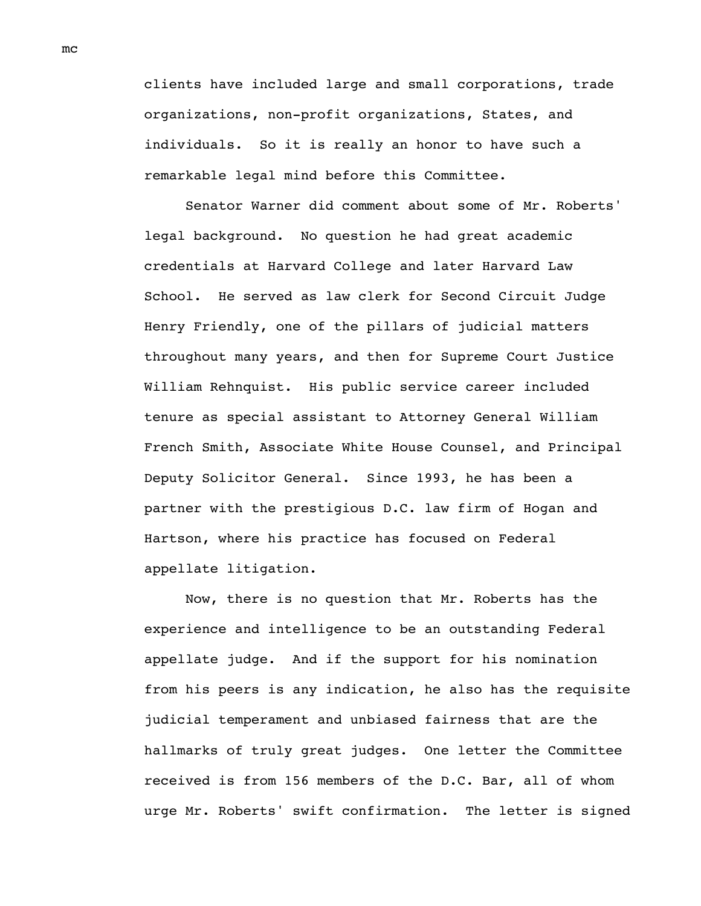clients have included large and small corporations, trade organizations, non-profit organizations, States, and individuals. So it is really an honor to have such a remarkable legal mind before this Committee.

Senator Warner did comment about some of Mr. Roberts' legal background. No question he had great academic credentials at Harvard College and later Harvard Law School. He served as law clerk for Second Circuit Judge Henry Friendly, one of the pillars of judicial matters throughout many years, and then for Supreme Court Justice William Rehnquist. His public service career included tenure as special assistant to Attorney General William French Smith, Associate White House Counsel, and Principal Deputy Solicitor General. Since 1993, he has been a partner with the prestigious D.C. law firm of Hogan and Hartson, where his practice has focused on Federal appellate litigation.

Now, there is no question that Mr. Roberts has the experience and intelligence to be an outstanding Federal appellate judge. And if the support for his nomination from his peers is any indication, he also has the requisite judicial temperament and unbiased fairness that are the hallmarks of truly great judges. One letter the Committee received is from 156 members of the D.C. Bar, all of whom urge Mr. Roberts' swift confirmation. The letter is signed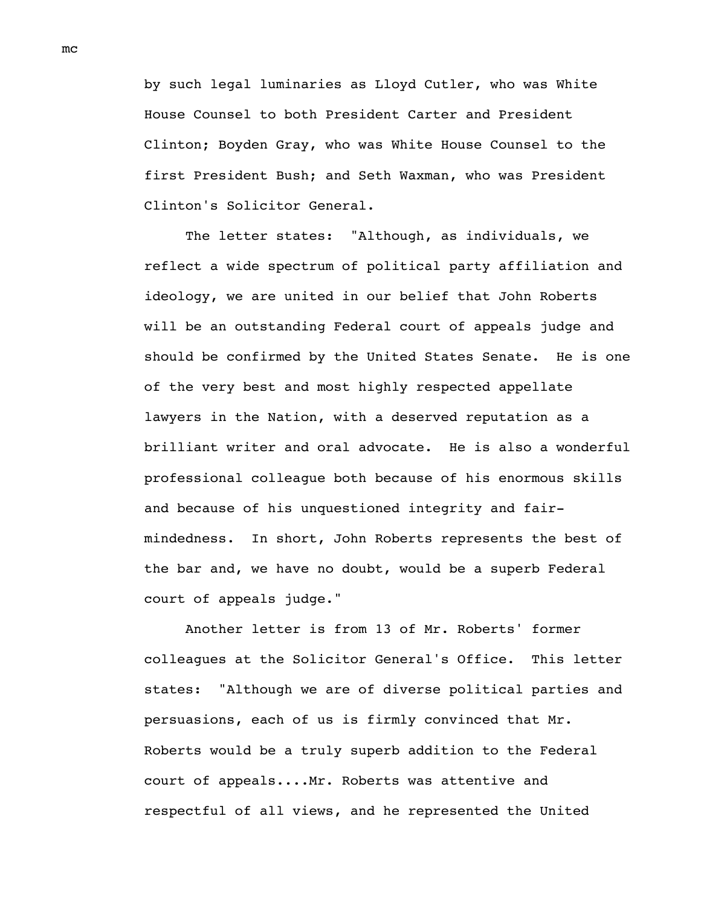by such legal luminaries as Lloyd Cutler, who was White House Counsel to both President Carter and President Clinton; Boyden Gray, who was White House Counsel to the first President Bush; and Seth Waxman, who was President Clinton's Solicitor General.

The letter states: "Although, as individuals, we reflect a wide spectrum of political party affiliation and ideology, we are united in our belief that John Roberts will be an outstanding Federal court of appeals judge and should be confirmed by the United States Senate. He is one of the very best and most highly respected appellate lawyers in the Nation, with a deserved reputation as a brilliant writer and oral advocate. He is also a wonderful professional colleague both because of his enormous skills and because of his unquestioned integrity and fairmindedness. In short, John Roberts represents the best of the bar and, we have no doubt, would be a superb Federal court of appeals judge."

Another letter is from 13 of Mr. Roberts' former colleagues at the Solicitor General's Office. This letter states: "Although we are of diverse political parties and persuasions, each of us is firmly convinced that Mr. Roberts would be a truly superb addition to the Federal court of appeals....Mr. Roberts was attentive and respectful of all views, and he represented the United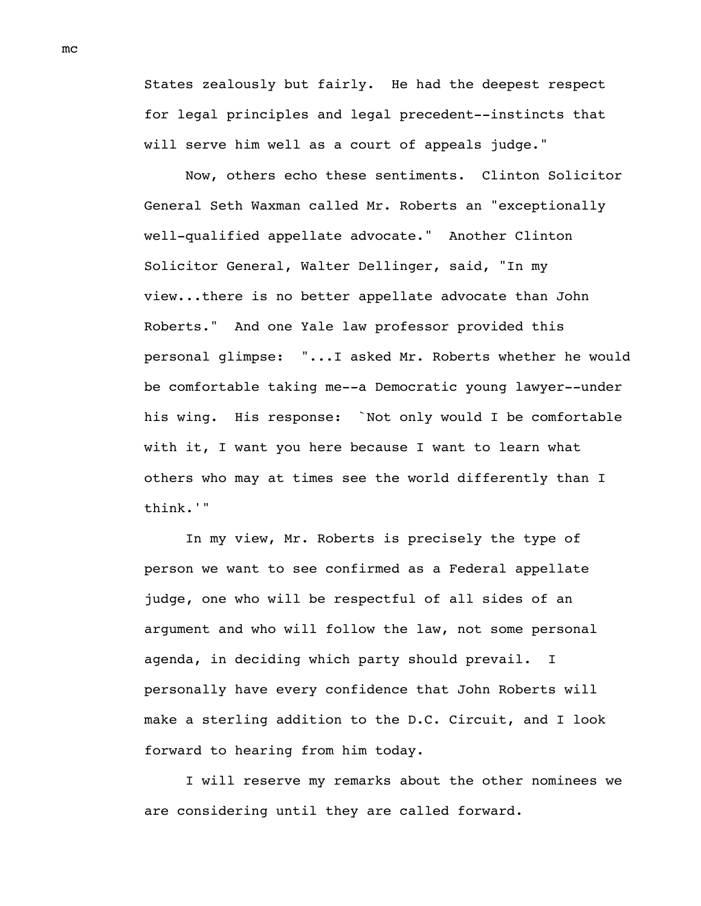States zealously but fairly. He had the deepest respect for legal principles and legal precedent--instincts that will serve him well as a court of appeals judge."

Now, others echo these sentiments. Clinton Solicitor General Seth Waxman called Mr. Roberts an "exceptionally well-qualified appellate advocate." Another Clinton Solicitor General, Walter Dellinger, said, "In my view...there is no better appellate advocate than John Roberts." And one Yale law professor provided this personal glimpse: "...I asked Mr. Roberts whether he would be comfortable taking me--a Democratic young lawyer--under his wing. His response: `Not only would I be comfortable with it, I want you here because I want to learn what others who may at times see the world differently than I think.'"

In my view, Mr. Roberts is precisely the type of person we want to see confirmed as a Federal appellate judge, one who will be respectful of all sides of an argument and who will follow the law, not some personal agenda, in deciding which party should prevail. I personally have every confidence that John Roberts will make a sterling addition to the D.C. Circuit, and I look forward to hearing from him today.

I will reserve my remarks about the other nominees we are considering until they are called forward.

mc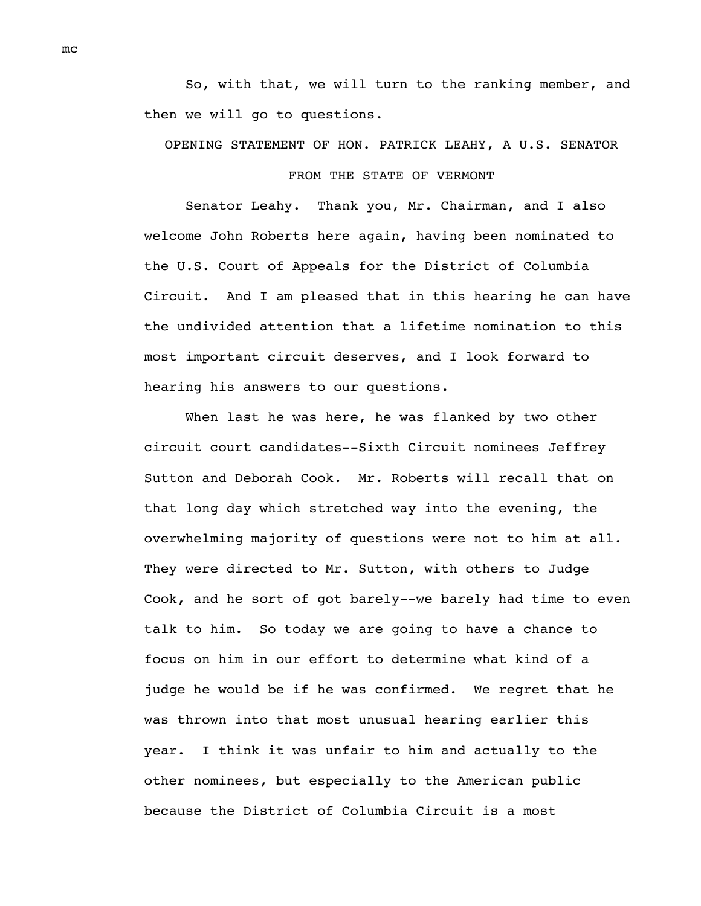So, with that, we will turn to the ranking member, and then we will go to questions.

## OPENING STATEMENT OF HON. PATRICK LEAHY, A U.S. SENATOR FROM THE STATE OF VERMONT

Senator Leahy. Thank you, Mr. Chairman, and I also welcome John Roberts here again, having been nominated to the U.S. Court of Appeals for the District of Columbia Circuit. And I am pleased that in this hearing he can have the undivided attention that a lifetime nomination to this most important circuit deserves, and I look forward to hearing his answers to our questions.

When last he was here, he was flanked by two other circuit court candidates--Sixth Circuit nominees Jeffrey Sutton and Deborah Cook. Mr. Roberts will recall that on that long day which stretched way into the evening, the overwhelming majority of questions were not to him at all. They were directed to Mr. Sutton, with others to Judge Cook, and he sort of got barely--we barely had time to even talk to him. So today we are going to have a chance to focus on him in our effort to determine what kind of a judge he would be if he was confirmed. We regret that he was thrown into that most unusual hearing earlier this year. I think it was unfair to him and actually to the other nominees, but especially to the American public because the District of Columbia Circuit is a most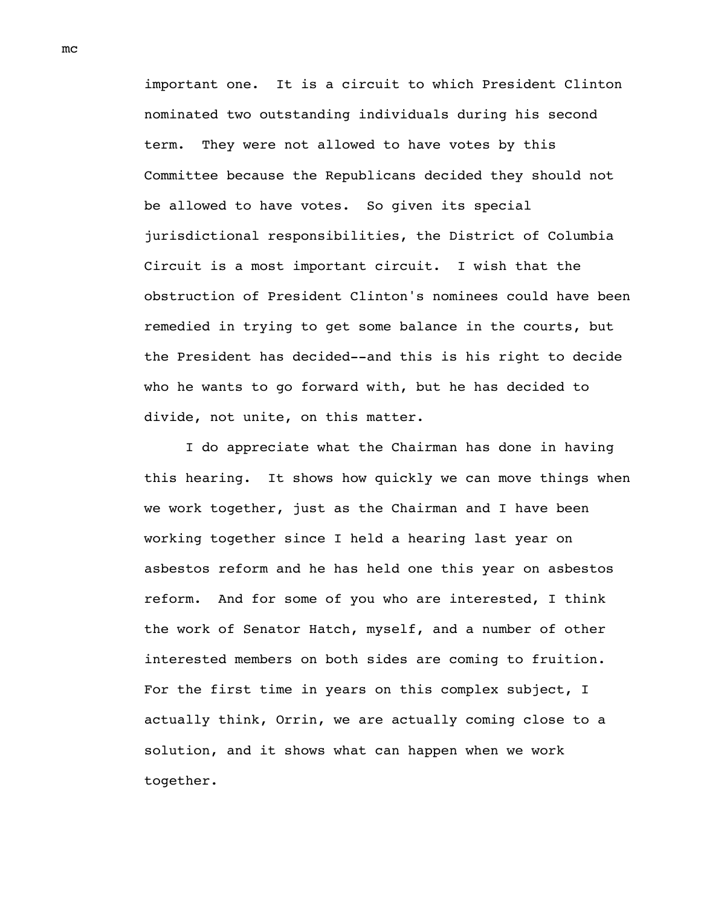important one. It is a circuit to which President Clinton nominated two outstanding individuals during his second term. They were not allowed to have votes by this Committee because the Republicans decided they should not be allowed to have votes. So given its special jurisdictional responsibilities, the District of Columbia Circuit is a most important circuit. I wish that the obstruction of President Clinton's nominees could have been remedied in trying to get some balance in the courts, but the President has decided--and this is his right to decide who he wants to go forward with, but he has decided to divide, not unite, on this matter.

I do appreciate what the Chairman has done in having this hearing. It shows how quickly we can move things when we work together, just as the Chairman and I have been working together since I held a hearing last year on asbestos reform and he has held one this year on asbestos reform. And for some of you who are interested, I think the work of Senator Hatch, myself, and a number of other interested members on both sides are coming to fruition. For the first time in years on this complex subject, I actually think, Orrin, we are actually coming close to a solution, and it shows what can happen when we work together.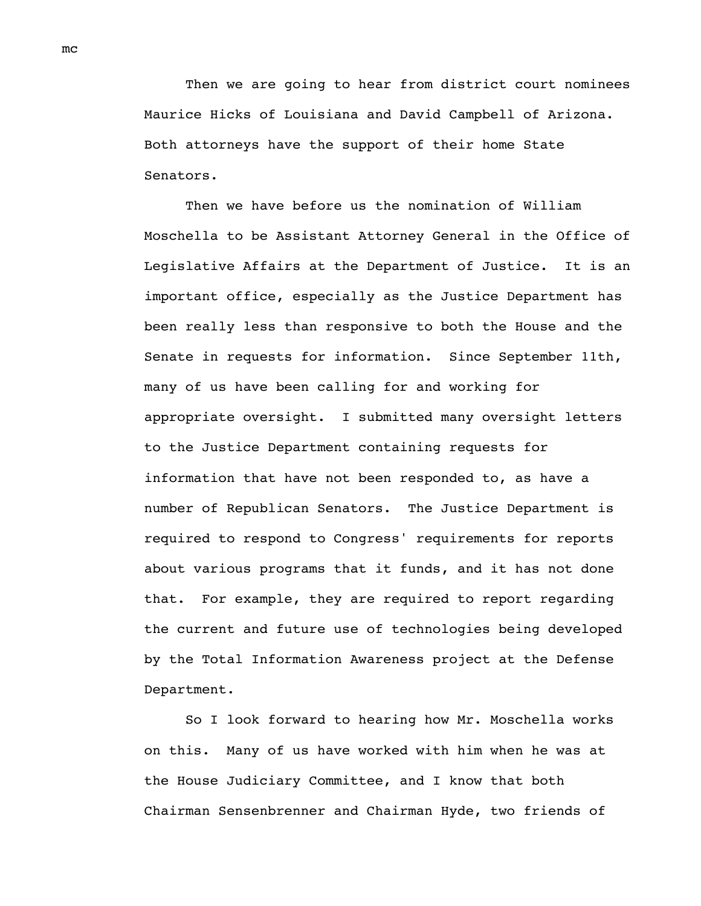Then we are going to hear from district court nominees Maurice Hicks of Louisiana and David Campbell of Arizona. Both attorneys have the support of their home State Senators.

Then we have before us the nomination of William Moschella to be Assistant Attorney General in the Office of Legislative Affairs at the Department of Justice. It is an important office, especially as the Justice Department has been really less than responsive to both the House and the Senate in requests for information. Since September 11th, many of us have been calling for and working for appropriate oversight. I submitted many oversight letters to the Justice Department containing requests for information that have not been responded to, as have a number of Republican Senators. The Justice Department is required to respond to Congress' requirements for reports about various programs that it funds, and it has not done that. For example, they are required to report regarding the current and future use of technologies being developed by the Total Information Awareness project at the Defense Department.

So I look forward to hearing how Mr. Moschella works on this. Many of us have worked with him when he was at the House Judiciary Committee, and I know that both Chairman Sensenbrenner and Chairman Hyde, two friends of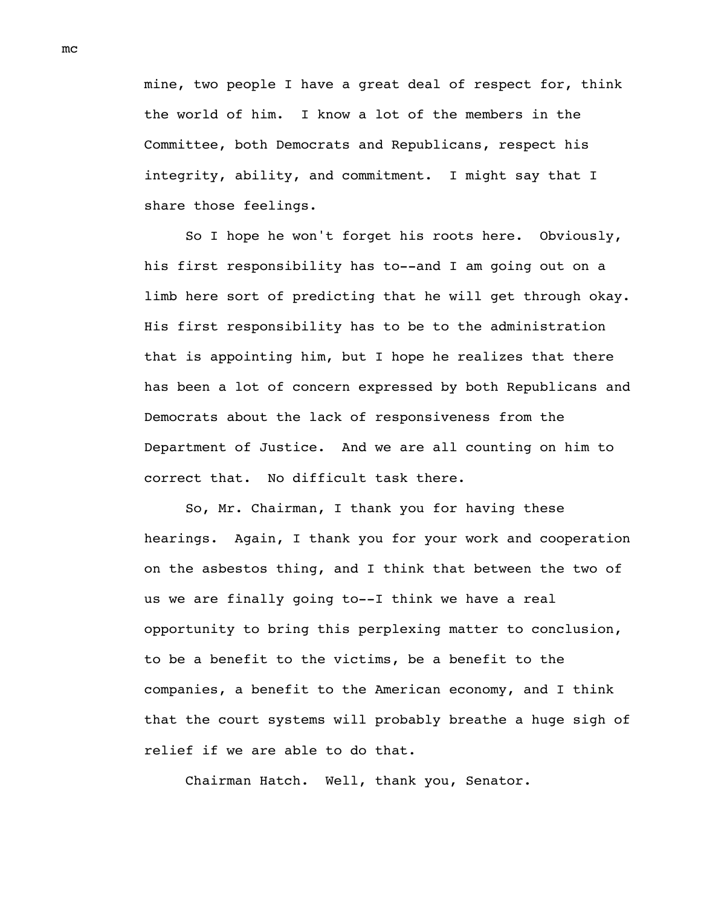mine, two people I have a great deal of respect for, think the world of him. I know a lot of the members in the Committee, both Democrats and Republicans, respect his integrity, ability, and commitment. I might say that I share those feelings.

So I hope he won't forget his roots here. Obviously, his first responsibility has to--and I am going out on a limb here sort of predicting that he will get through okay. His first responsibility has to be to the administration that is appointing him, but I hope he realizes that there has been a lot of concern expressed by both Republicans and Democrats about the lack of responsiveness from the Department of Justice. And we are all counting on him to correct that. No difficult task there.

So, Mr. Chairman, I thank you for having these hearings. Again, I thank you for your work and cooperation on the asbestos thing, and I think that between the two of us we are finally going to--I think we have a real opportunity to bring this perplexing matter to conclusion, to be a benefit to the victims, be a benefit to the companies, a benefit to the American economy, and I think that the court systems will probably breathe a huge sigh of relief if we are able to do that.

Chairman Hatch. Well, thank you, Senator.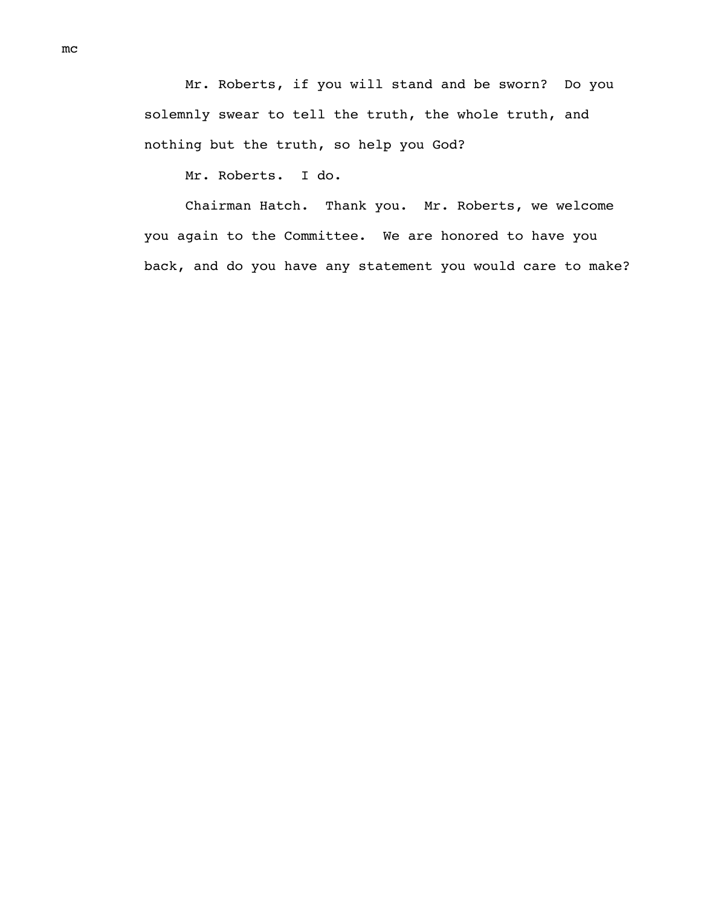Mr. Roberts, if you will stand and be sworn? Do you solemnly swear to tell the truth, the whole truth, and nothing but the truth, so help you God?

Mr. Roberts. I do.

Chairman Hatch. Thank you. Mr. Roberts, we welcome you again to the Committee. We are honored to have you back, and do you have any statement you would care to make?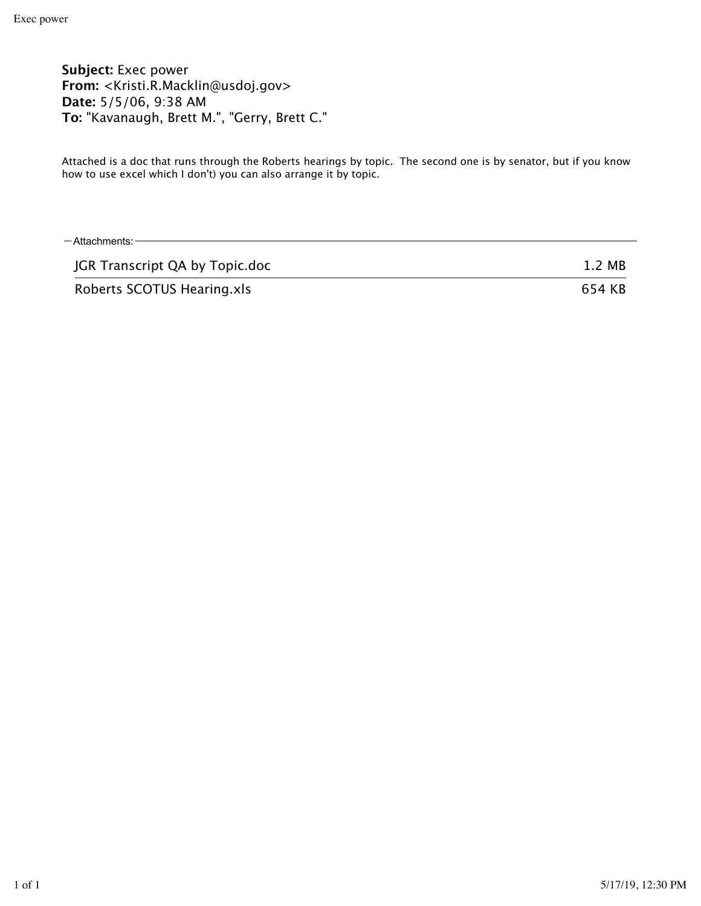**Subject:** Exec power **From:** <Kristi.R.Macklin@usdoj.gov> **Date:** 5/5/06, 9:38 AM **To:** "Kavanaugh, Brett M.", "Gerry, Brett C."

Attached is a doc that runs through the Roberts hearings by topic. The second one is by senator, but if you know how to use excel which I don't) you can also arrange it by topic.

| $-$ Attachments: $-$           |        |
|--------------------------------|--------|
| JGR Transcript QA by Topic.doc | 1.2 MB |
| Roberts SCOTUS Hearing.xls     | 654 KB |